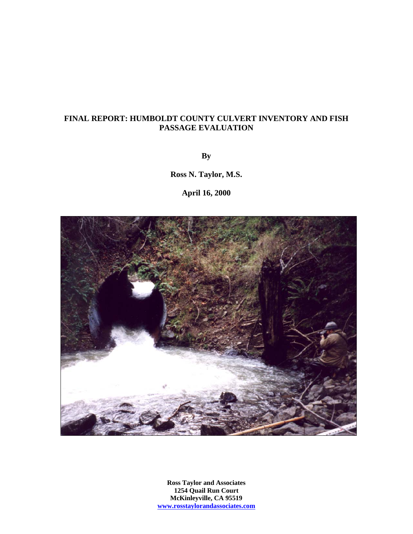### **FINAL REPORT: HUMBOLDT COUNTY CULVERT INVENTORY AND FISH PASSAGE EVALUATION**

**By** 

**Ross N. Taylor, M.S.** 

**April 16, 2000** 



**Ross Taylor and Associates 1254 Quail Run Court McKinleyville, CA 95519 www.rosstaylorandassociates.com**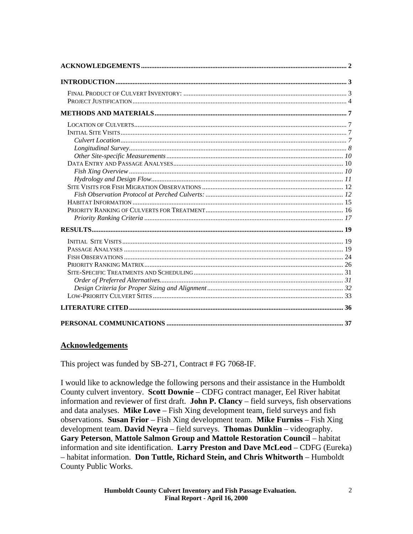<span id="page-1-0"></span>

## **Acknowledgements**

This project was funded by SB-271, Contract # FG 7068-IF.

I would like to acknowledge the following persons and their assistance in the Humboldt County culvert inventory. **Scott Downie** – CDFG contract manager, Eel River habitat information and reviewer of first draft. **John P. Clancy** – field surveys, fish observations and data analyses. **Mike Love** – Fish Xing development team, field surveys and fish observations. **Susan Frior** – Fish Xing development team. **Mike Furniss** – Fish Xing development team. **David Neyra** – field surveys. **Thomas Dunklin** – videography. **Gary Peterson**, **Mattole Salmon Group and Mattole Restoration Council** – habitat information and site identification. **Larry Preston and Dave McLeod** – CDFG (Eureka) – habitat information. **Don Tuttle, Richard Stein, and Chris Whitworth** – Humboldt County Public Works.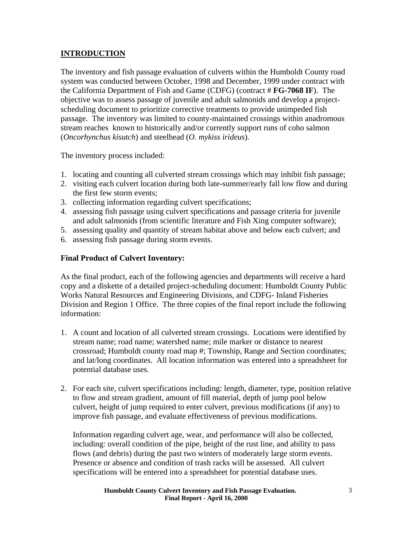## <span id="page-2-0"></span>**INTRODUCTION**

The inventory and fish passage evaluation of culverts within the Humboldt County road system was conducted between October, 1998 and December, 1999 under contract with the California Department of Fish and Game (CDFG) (contract # **FG-7068 IF**). The objective was to assess passage of juvenile and adult salmonids and develop a projectscheduling document to prioritize corrective treatments to provide unimpeded fish passage. The inventory was limited to county-maintained crossings within anadromous stream reaches known to historically and/or currently support runs of coho salmon (*Oncorhynchus kisutch*) and steelhead (*O. mykiss irideus*).

The inventory process included:

- 1. locating and counting all culverted stream crossings which may inhibit fish passage;
- 2. visiting each culvert location during both late-summer/early fall low flow and during the first few storm events;
- 3. collecting information regarding culvert specifications;
- 4. assessing fish passage using culvert specifications and passage criteria for juvenile and adult salmonids (from scientific literature and Fish Xing computer software);
- 5. assessing quality and quantity of stream habitat above and below each culvert; and
- 6. assessing fish passage during storm events.

## **Final Product of Culvert Inventory:**

As the final product, each of the following agencies and departments will receive a hard copy and a diskette of a detailed project-scheduling document: Humboldt County Public Works Natural Resources and Engineering Divisions, and CDFG- Inland Fisheries Division and Region 1 Office. The three copies of the final report include the following information:

- 1. A count and location of all culverted stream crossings. Locations were identified by stream name; road name; watershed name; mile marker or distance to nearest crossroad; Humboldt county road map #; Township, Range and Section coordinates; and lat/long coordinates. All location information was entered into a spreadsheet for potential database uses.
- 2. For each site, culvert specifications including: length, diameter, type, position relative to flow and stream gradient, amount of fill material, depth of jump pool below culvert, height of jump required to enter culvert, previous modifications (if any) to improve fish passage, and evaluate effectiveness of previous modifications.

Information regarding culvert age, wear, and performance will also be collected, including: overall condition of the pipe, height of the rust line, and ability to pass flows (and debris) during the past two winters of moderately large storm events. Presence or absence and condition of trash racks will be assessed. All culvert specifications will be entered into a spreadsheet for potential database uses.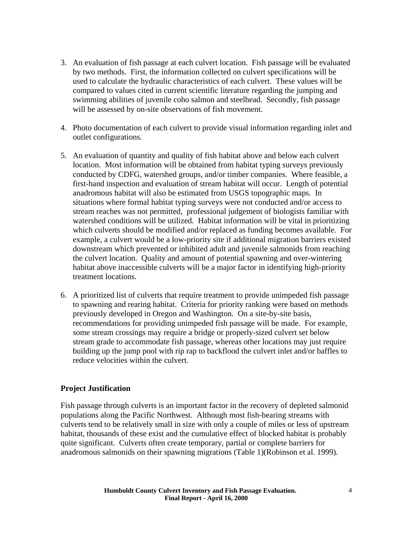- <span id="page-3-0"></span>3. An evaluation of fish passage at each culvert location. Fish passage will be evaluated by two methods. First, the information collected on culvert specifications will be used to calculate the hydraulic characteristics of each culvert. These values will be compared to values cited in current scientific literature regarding the jumping and swimming abilities of juvenile coho salmon and steelhead. Secondly, fish passage will be assessed by on-site observations of fish movement.
- 4. Photo documentation of each culvert to provide visual information regarding inlet and outlet configurations.
- 5. An evaluation of quantity and quality of fish habitat above and below each culvert location. Most information will be obtained from habitat typing surveys previously conducted by CDFG, watershed groups, and/or timber companies. Where feasible, a first-hand inspection and evaluation of stream habitat will occur. Length of potential anadromous habitat will also be estimated from USGS topographic maps. In situations where formal habitat typing surveys were not conducted and/or access to stream reaches was not permitted, professional judgement of biologists familiar with watershed conditions will be utilized. Habitat information will be vital in prioritizing which culverts should be modified and/or replaced as funding becomes available. For example, a culvert would be a low-priority site if additional migration barriers existed downstream which prevented or inhibited adult and juvenile salmonids from reaching the culvert location. Quality and amount of potential spawning and over-wintering habitat above inaccessible culverts will be a major factor in identifying high-priority treatment locations.
- 6. A prioritized list of culverts that require treatment to provide unimpeded fish passage to spawning and rearing habitat. Criteria for priority ranking were based on methods previously developed in Oregon and Washington. On a site-by-site basis, recommendations for providing unimpeded fish passage will be made. For example, some stream crossings may require a bridge or properly-sized culvert set below stream grade to accommodate fish passage, whereas other locations may just require building up the jump pool with rip rap to backflood the culvert inlet and/or baffles to reduce velocities within the culvert.

#### **Project Justification**

Fish passage through culverts is an important factor in the recovery of depleted salmonid populations along the Pacific Northwest. Although most fish-bearing streams with culverts tend to be relatively small in size with only a couple of miles or less of upstream habitat, thousands of these exist and the cumulative effect of blocked habitat is probably quite significant. Culverts often create temporary, partial or complete barriers for anadromous salmonids on their spawning migrations (Table 1)(Robinson et al. 1999).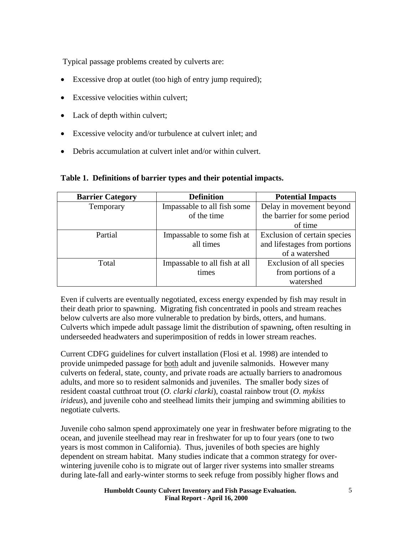Typical passage problems created by culverts are:

- Excessive drop at outlet (too high of entry jump required);
- Excessive velocities within culvert:
- Lack of depth within culvert;
- Excessive velocity and/or turbulence at culvert inlet; and
- Debris accumulation at culvert inlet and/or within culvert.

**Table 1. Definitions of barrier types and their potential impacts.** 

| <b>Barrier Category</b> | <b>Definition</b>             | <b>Potential Impacts</b>     |
|-------------------------|-------------------------------|------------------------------|
| Temporary               | Impassable to all fish some   | Delay in movement beyond     |
|                         | of the time                   | the barrier for some period  |
|                         |                               | of time                      |
| Partial                 | Impassable to some fish at    | Exclusion of certain species |
|                         | all times                     | and lifestages from portions |
|                         |                               | of a watershed               |
| Total                   | Impassable to all fish at all | Exclusion of all species     |
|                         | times                         | from portions of a           |
|                         |                               | watershed                    |

Even if culverts are eventually negotiated, excess energy expended by fish may result in their death prior to spawning. Migrating fish concentrated in pools and stream reaches below culverts are also more vulnerable to predation by birds, otters, and humans. Culverts which impede adult passage limit the distribution of spawning, often resulting in underseeded headwaters and superimposition of redds in lower stream reaches.

Current CDFG guidelines for culvert installation (Flosi et al. 1998) are intended to provide unimpeded passage for both adult and juvenile salmonids. However many culverts on federal, state, county, and private roads are actually barriers to anadromous adults, and more so to resident salmonids and juveniles. The smaller body sizes of resident coastal cutthroat trout (*O. clarki clarki*), coastal rainbow trout (*O. mykiss irideus*), and juvenile coho and steelhead limits their jumping and swimming abilities to negotiate culverts.

Juvenile coho salmon spend approximately one year in freshwater before migrating to the ocean, and juvenile steelhead may rear in freshwater for up to four years (one to two years is most common in California). Thus, juveniles of both species are highly dependent on stream habitat. Many studies indicate that a common strategy for overwintering juvenile coho is to migrate out of larger river systems into smaller streams during late-fall and early-winter storms to seek refuge from possibly higher flows and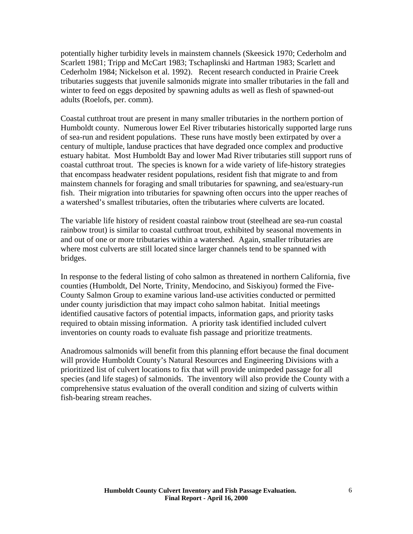potentially higher turbidity levels in mainstem channels (Skeesick 1970; Cederholm and Scarlett 1981; Tripp and McCart 1983; Tschaplinski and Hartman 1983; Scarlett and Cederholm 1984; Nickelson et al. 1992). Recent research conducted in Prairie Creek tributaries suggests that juvenile salmonids migrate into smaller tributaries in the fall and winter to feed on eggs deposited by spawning adults as well as flesh of spawned-out adults (Roelofs, per. comm).

Coastal cutthroat trout are present in many smaller tributaries in the northern portion of Humboldt county. Numerous lower Eel River tributaries historically supported large runs of sea-run and resident populations. These runs have mostly been extirpated by over a century of multiple, landuse practices that have degraded once complex and productive estuary habitat. Most Humboldt Bay and lower Mad River tributaries still support runs of coastal cutthroat trout. The species is known for a wide variety of life-history strategies that encompass headwater resident populations, resident fish that migrate to and from mainstem channels for foraging and small tributaries for spawning, and sea/estuary-run fish. Their migration into tributaries for spawning often occurs into the upper reaches of a watershed's smallest tributaries, often the tributaries where culverts are located.

The variable life history of resident coastal rainbow trout (steelhead are sea-run coastal rainbow trout) is similar to coastal cutthroat trout, exhibited by seasonal movements in and out of one or more tributaries within a watershed. Again, smaller tributaries are where most culverts are still located since larger channels tend to be spanned with bridges.

In response to the federal listing of coho salmon as threatened in northern California, five counties (Humboldt, Del Norte, Trinity, Mendocino, and Siskiyou) formed the Five-County Salmon Group to examine various land-use activities conducted or permitted under county jurisdiction that may impact coho salmon habitat. Initial meetings identified causative factors of potential impacts, information gaps, and priority tasks required to obtain missing information. A priority task identified included culvert inventories on county roads to evaluate fish passage and prioritize treatments.

Anadromous salmonids will benefit from this planning effort because the final document will provide Humboldt County's Natural Resources and Engineering Divisions with a prioritized list of culvert locations to fix that will provide unimpeded passage for all species (and life stages) of salmonids. The inventory will also provide the County with a comprehensive status evaluation of the overall condition and sizing of culverts within fish-bearing stream reaches.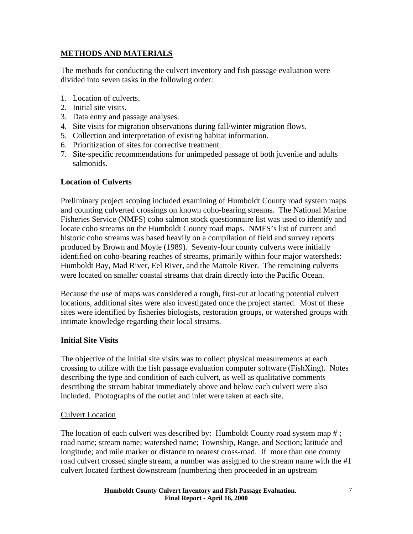## <span id="page-6-0"></span>**METHODS AND MATERIALS**

The methods for conducting the culvert inventory and fish passage evaluation were divided into seven tasks in the following order:

- 1. Location of culverts.
- 2. Initial site visits.
- 3. Data entry and passage analyses.
- 4. Site visits for migration observations during fall/winter migration flows.
- 5. Collection and interpretation of existing habitat information.
- 6. Prioritization of sites for corrective treatment.
- 7. Site-specific recommendations for unimpeded passage of both juvenile and adults salmonids.

### **Location of Culverts**

Preliminary project scoping included examining of Humboldt County road system maps and counting culverted crossings on known coho-bearing streams. The National Marine Fisheries Service (NMFS) coho salmon stock questionnaire list was used to identify and locate coho streams on the Humboldt County road maps. NMFS's list of current and historic coho streams was based heavily on a compilation of field and survey reports produced by Brown and Moyle (1989). Seventy-four county culverts were initially identified on coho-bearing reaches of streams, primarily within four major watersheds: Humboldt Bay, Mad River, Eel River, and the Mattole River. The remaining culverts were located on smaller coastal streams that drain directly into the Pacific Ocean.

Because the use of maps was considered a rough, first-cut at locating potential culvert locations, additional sites were also investigated once the project started. Most of these sites were identified by fisheries biologists, restoration groups, or watershed groups with intimate knowledge regarding their local streams.

#### **Initial Site Visits**

The objective of the initial site visits was to collect physical measurements at each crossing to utilize with the fish passage evaluation computer software (FishXing). Notes describing the type and condition of each culvert, as well as qualitative comments describing the stream habitat immediately above and below each culvert were also included. Photographs of the outlet and inlet were taken at each site.

#### Culvert Location

The location of each culvert was described by: Humboldt County road system map #; road name; stream name; watershed name; Township, Range, and Section; latitude and longitude; and mile marker or distance to nearest cross-road. If more than one county road culvert crossed single stream, a number was assigned to the stream name with the #1 culvert located farthest downstream (numbering then proceeded in an upstream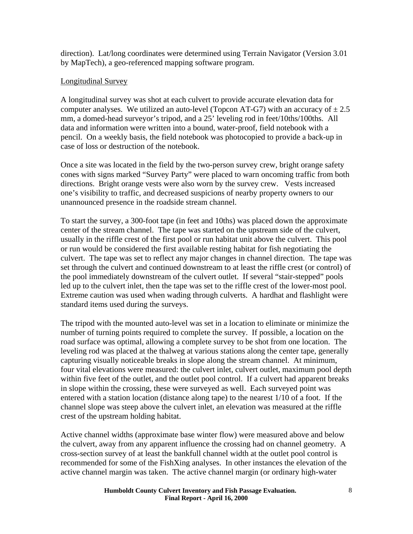<span id="page-7-0"></span>direction). Lat/long coordinates were determined using Terrain Navigator (Version 3.01 by MapTech), a geo-referenced mapping software program.

## Longitudinal Survey

A longitudinal survey was shot at each culvert to provide accurate elevation data for computer analyses. We utilized an auto-level (Topcon AT-G7) with an accuracy of  $\pm 2.5$ mm, a domed-head surveyor's tripod, and a 25' leveling rod in feet/10ths/100ths. All data and information were written into a bound, water-proof, field notebook with a pencil. On a weekly basis, the field notebook was photocopied to provide a back-up in case of loss or destruction of the notebook.

Once a site was located in the field by the two-person survey crew, bright orange safety cones with signs marked "Survey Party" were placed to warn oncoming traffic from both directions. Bright orange vests were also worn by the survey crew. Vests increased one's visibility to traffic, and decreased suspicions of nearby property owners to our unannounced presence in the roadside stream channel.

To start the survey, a 300-foot tape (in feet and 10ths) was placed down the approximate center of the stream channel. The tape was started on the upstream side of the culvert, usually in the riffle crest of the first pool or run habitat unit above the culvert. This pool or run would be considered the first available resting habitat for fish negotiating the culvert. The tape was set to reflect any major changes in channel direction. The tape was set through the culvert and continued downstream to at least the riffle crest (or control) of the pool immediately downstream of the culvert outlet. If several "stair-stepped" pools led up to the culvert inlet, then the tape was set to the riffle crest of the lower-most pool. Extreme caution was used when wading through culverts. A hardhat and flashlight were standard items used during the surveys.

The tripod with the mounted auto-level was set in a location to eliminate or minimize the number of turning points required to complete the survey. If possible, a location on the road surface was optimal, allowing a complete survey to be shot from one location. The leveling rod was placed at the thalweg at various stations along the center tape, generally capturing visually noticeable breaks in slope along the stream channel. At minimum, four vital elevations were measured: the culvert inlet, culvert outlet, maximum pool depth within five feet of the outlet, and the outlet pool control. If a culvert had apparent breaks in slope within the crossing, these were surveyed as well. Each surveyed point was entered with a station location (distance along tape) to the nearest 1/10 of a foot. If the channel slope was steep above the culvert inlet, an elevation was measured at the riffle crest of the upstream holding habitat.

Active channel widths (approximate base winter flow) were measured above and below the culvert, away from any apparent influence the crossing had on channel geometry. A cross-section survey of at least the bankfull channel width at the outlet pool control is recommended for some of the FishXing analyses. In other instances the elevation of the active channel margin was taken. The active channel margin (or ordinary high-water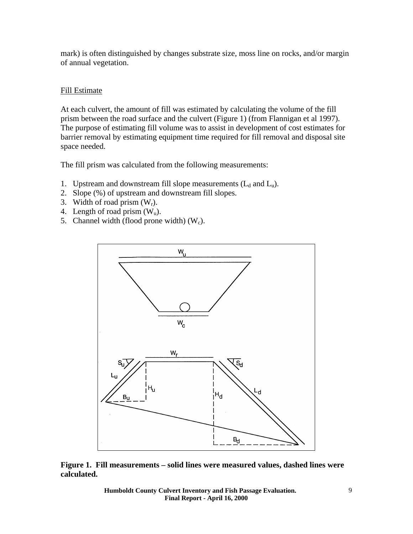mark) is often distinguished by changes substrate size, moss line on rocks, and/or margin of annual vegetation.

### Fill Estimate

At each culvert, the amount of fill was estimated by calculating the volume of the fill prism between the road surface and the culvert (Figure 1) (from Flannigan et al 1997). The purpose of estimating fill volume was to assist in development of cost estimates for barrier removal by estimating equipment time required for fill removal and disposal site space needed.

The fill prism was calculated from the following measurements:

- 1. Upstream and downstream fill slope measurements  $(L_d$  and  $L_u$ ).
- 2. Slope (%) of upstream and downstream fill slopes.
- 3. Width of road prism  $(W_r)$ .
- 4. Length of road prism  $(W_u)$ .
- 5. Channel width (flood prone width)  $(W_c)$ .



**Figure 1. Fill measurements – solid lines were measured values, dashed lines were calculated.** 

> **Humboldt County Culvert Inventory and Fish Passage Evaluation. Final Report - April 16, 2000**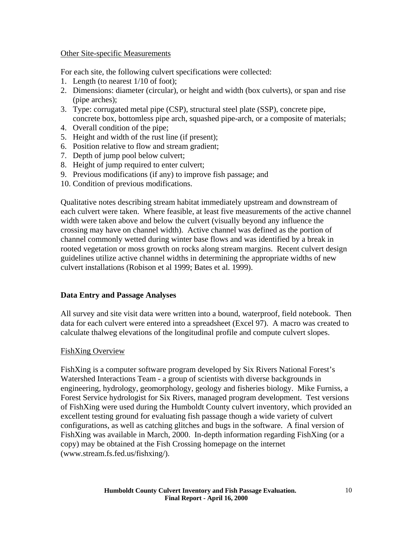### <span id="page-9-0"></span>Other Site-specific Measurements

For each site, the following culvert specifications were collected:

- 1. Length (to nearest 1/10 of foot);
- 2. Dimensions: diameter (circular), or height and width (box culverts), or span and rise (pipe arches);
- 3. Type: corrugated metal pipe (CSP), structural steel plate (SSP), concrete pipe, concrete box, bottomless pipe arch, squashed pipe-arch, or a composite of materials;
- 4. Overall condition of the pipe;
- 5. Height and width of the rust line (if present);
- 6. Position relative to flow and stream gradient;
- 7. Depth of jump pool below culvert;
- 8. Height of jump required to enter culvert;
- 9. Previous modifications (if any) to improve fish passage; and
- 10. Condition of previous modifications.

Qualitative notes describing stream habitat immediately upstream and downstream of each culvert were taken. Where feasible, at least five measurements of the active channel width were taken above and below the culvert (visually beyond any influence the crossing may have on channel width). Active channel was defined as the portion of channel commonly wetted during winter base flows and was identified by a break in rooted vegetation or moss growth on rocks along stream margins. Recent culvert design guidelines utilize active channel widths in determining the appropriate widths of new culvert installations (Robison et al 1999; Bates et al. 1999).

#### **Data Entry and Passage Analyses**

All survey and site visit data were written into a bound, waterproof, field notebook. Then data for each culvert were entered into a spreadsheet (Excel 97). A macro was created to calculate thalweg elevations of the longitudinal profile and compute culvert slopes.

#### FishXing Overview

FishXing is a computer software program developed by Six Rivers National Forest's Watershed Interactions Team - a group of scientists with diverse backgrounds in engineering, hydrology, geomorphology, geology and fisheries biology. Mike Furniss, a Forest Service hydrologist for Six Rivers, managed program development. Test versions of FishXing were used during the Humboldt County culvert inventory, which provided an excellent testing ground for evaluating fish passage though a wide variety of culvert configurations, as well as catching glitches and bugs in the software. A final version of FishXing was available in March, 2000. In-depth information regarding FishXing (or a copy) may be obtained at the Fish Crossing homepage on the internet (www.stream.fs.fed.us/fishxing/).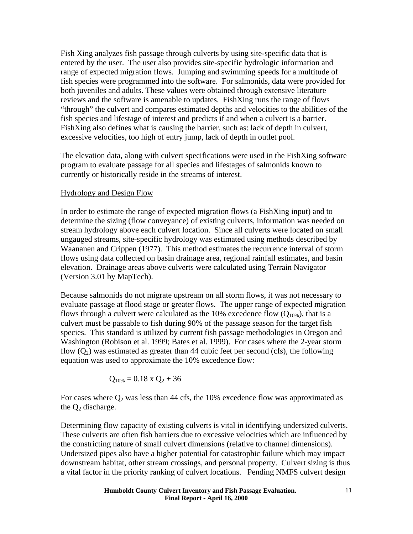<span id="page-10-0"></span>Fish Xing analyzes fish passage through culverts by using site-specific data that is entered by the user. The user also provides site-specific hydrologic information and range of expected migration flows. Jumping and swimming speeds for a multitude of fish species were programmed into the software. For salmonids, data were provided for both juveniles and adults. These values were obtained through extensive literature reviews and the software is amenable to updates. FishXing runs the range of flows "through" the culvert and compares estimated depths and velocities to the abilities of the fish species and lifestage of interest and predicts if and when a culvert is a barrier. FishXing also defines what is causing the barrier, such as: lack of depth in culvert, excessive velocities, too high of entry jump, lack of depth in outlet pool.

The elevation data, along with culvert specifications were used in the FishXing software program to evaluate passage for all species and lifestages of salmonids known to currently or historically reside in the streams of interest.

#### Hydrology and Design Flow

In order to estimate the range of expected migration flows (a FishXing input) and to determine the sizing (flow conveyance) of existing culverts, information was needed on stream hydrology above each culvert location. Since all culverts were located on small ungauged streams, site-specific hydrology was estimated using methods described by Waananen and Crippen (1977). This method estimates the recurrence interval of storm flows using data collected on basin drainage area, regional rainfall estimates, and basin elevation. Drainage areas above culverts were calculated using Terrain Navigator (Version 3.01 by MapTech).

Because salmonids do not migrate upstream on all storm flows, it was not necessary to evaluate passage at flood stage or greater flows. The upper range of expected migration flows through a culvert were calculated as the 10% excedence flow  $(Q_{10\%})$ , that is a culvert must be passable to fish during 90% of the passage season for the target fish species. This standard is utilized by current fish passage methodologies in Oregon and Washington (Robison et al. 1999; Bates et al. 1999). For cases where the 2-year storm flow  $(Q_2)$  was estimated as greater than 44 cubic feet per second (cfs), the following equation was used to approximate the 10% excedence flow:

$$
Q_{10\%} = 0.18 \times Q_2 + 36
$$

For cases where  $Q_2$  was less than 44 cfs, the 10% excedence flow was approximated as the  $Q_2$  discharge.

Determining flow capacity of existing culverts is vital in identifying undersized culverts. These culverts are often fish barriers due to excessive velocities which are influenced by the constricting nature of small culvert dimensions (relative to channel dimensions). Undersized pipes also have a higher potential for catastrophic failure which may impact downstream habitat, other stream crossings, and personal property. Culvert sizing is thus a vital factor in the priority ranking of culvert locations. Pending NMFS culvert design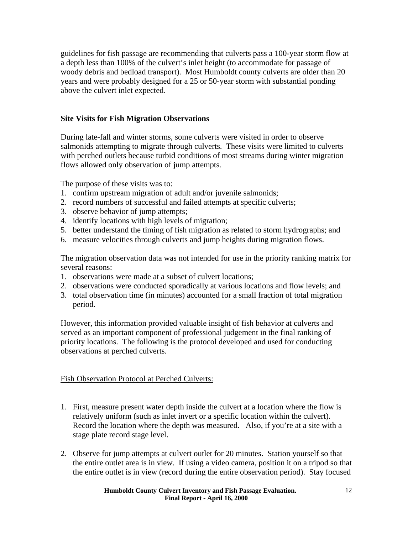<span id="page-11-0"></span>guidelines for fish passage are recommending that culverts pass a 100-year storm flow at a depth less than 100% of the culvert's inlet height (to accommodate for passage of woody debris and bedload transport). Most Humboldt county culverts are older than 20 years and were probably designed for a 25 or 50-year storm with substantial ponding above the culvert inlet expected.

## **Site Visits for Fish Migration Observations**

During late-fall and winter storms, some culverts were visited in order to observe salmonids attempting to migrate through culverts. These visits were limited to culverts with perched outlets because turbid conditions of most streams during winter migration flows allowed only observation of jump attempts.

The purpose of these visits was to:

- 1. confirm upstream migration of adult and/or juvenile salmonids;
- 2. record numbers of successful and failed attempts at specific culverts;
- 3. observe behavior of jump attempts;
- 4. identify locations with high levels of migration;
- 5. better understand the timing of fish migration as related to storm hydrographs; and
- 6. measure velocities through culverts and jump heights during migration flows.

The migration observation data was not intended for use in the priority ranking matrix for several reasons:

- 1. observations were made at a subset of culvert locations;
- 2. observations were conducted sporadically at various locations and flow levels; and
- 3. total observation time (in minutes) accounted for a small fraction of total migration period.

However, this information provided valuable insight of fish behavior at culverts and served as an important component of professional judgement in the final ranking of priority locations. The following is the protocol developed and used for conducting observations at perched culverts.

#### Fish Observation Protocol at Perched Culverts:

- 1. First, measure present water depth inside the culvert at a location where the flow is relatively uniform (such as inlet invert or a specific location within the culvert). Record the location where the depth was measured. Also, if you're at a site with a stage plate record stage level.
- 2. Observe for jump attempts at culvert outlet for 20 minutes. Station yourself so that the entire outlet area is in view. If using a video camera, position it on a tripod so that the entire outlet is in view (record during the entire observation period). Stay focused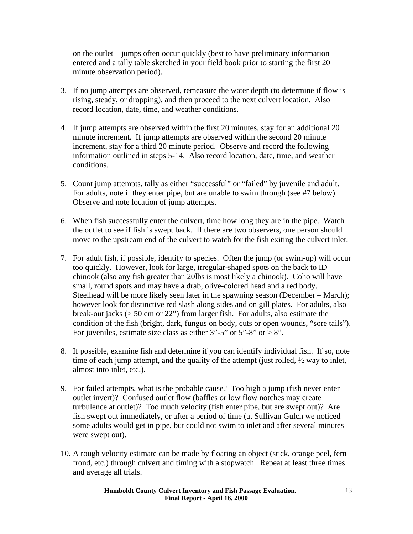on the outlet – jumps often occur quickly (best to have preliminary information entered and a tally table sketched in your field book prior to starting the first 20 minute observation period).

- 3. If no jump attempts are observed, remeasure the water depth (to determine if flow is rising, steady, or dropping), and then proceed to the next culvert location. Also record location, date, time, and weather conditions.
- 4. If jump attempts are observed within the first 20 minutes, stay for an additional 20 minute increment. If jump attempts are observed within the second 20 minute increment, stay for a third 20 minute period. Observe and record the following information outlined in steps 5-14. Also record location, date, time, and weather conditions.
- 5. Count jump attempts, tally as either "successful" or "failed" by juvenile and adult. For adults, note if they enter pipe, but are unable to swim through (see #7 below). Observe and note location of jump attempts.
- 6. When fish successfully enter the culvert, time how long they are in the pipe. Watch the outlet to see if fish is swept back. If there are two observers, one person should move to the upstream end of the culvert to watch for the fish exiting the culvert inlet.
- 7. For adult fish, if possible, identify to species. Often the jump (or swim-up) will occur too quickly. However, look for large, irregular-shaped spots on the back to ID chinook (also any fish greater than 20lbs is most likely a chinook). Coho will have small, round spots and may have a drab, olive-colored head and a red body. Steelhead will be more likely seen later in the spawning season (December – March); however look for distinctive red slash along sides and on gill plates. For adults, also break-out jacks (> 50 cm or 22") from larger fish. For adults, also estimate the condition of the fish (bright, dark, fungus on body, cuts or open wounds, "sore tails"). For juveniles, estimate size class as either  $3"$ -5" or  $5"$ -8" or  $> 8"$ .
- 8. If possible, examine fish and determine if you can identify individual fish. If so, note time of each jump attempt, and the quality of the attempt (just rolled,  $\frac{1}{2}$  way to inlet, almost into inlet, etc.).
- 9. For failed attempts, what is the probable cause? Too high a jump (fish never enter outlet invert)? Confused outlet flow (baffles or low flow notches may create turbulence at outlet)? Too much velocity (fish enter pipe, but are swept out)? Are fish swept out immediately, or after a period of time (at Sullivan Gulch we noticed some adults would get in pipe, but could not swim to inlet and after several minutes were swept out).
- 10. A rough velocity estimate can be made by floating an object (stick, orange peel, fern frond, etc.) through culvert and timing with a stopwatch. Repeat at least three times and average all trials.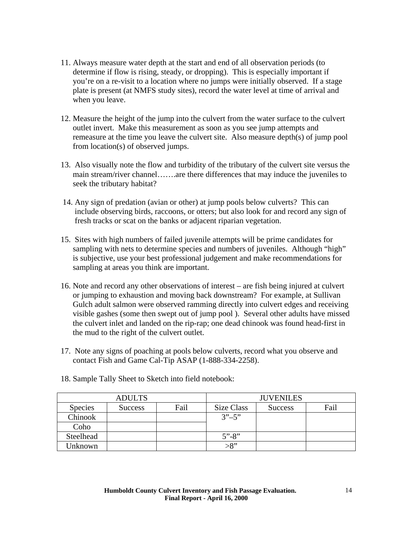- 11. Always measure water depth at the start and end of all observation periods (to determine if flow is rising, steady, or dropping). This is especially important if you're on a re-visit to a location where no jumps were initially observed. If a stage plate is present (at NMFS study sites), record the water level at time of arrival and when you leave.
- 12. Measure the height of the jump into the culvert from the water surface to the culvert outlet invert. Make this measurement as soon as you see jump attempts and remeasure at the time you leave the culvert site. Also measure depth(s) of jump pool from location(s) of observed jumps.
- 13. Also visually note the flow and turbidity of the tributary of the culvert site versus the main stream/river channel…….are there differences that may induce the juveniles to seek the tributary habitat?
- 14. Any sign of predation (avian or other) at jump pools below culverts? This can include observing birds, raccoons, or otters; but also look for and record any sign of fresh tracks or scat on the banks or adjacent riparian vegetation.
- 15. Sites with high numbers of failed juvenile attempts will be prime candidates for sampling with nets to determine species and numbers of juveniles. Although "high" is subjective, use your best professional judgement and make recommendations for sampling at areas you think are important.
- 16. Note and record any other observations of interest are fish being injured at culvert or jumping to exhaustion and moving back downstream? For example, at Sullivan Gulch adult salmon were observed ramming directly into culvert edges and receiving visible gashes (some then swept out of jump pool ). Several other adults have missed the culvert inlet and landed on the rip-rap; one dead chinook was found head-first in the mud to the right of the culvert outlet.
- 17. Note any signs of poaching at pools below culverts, record what you observe and contact Fish and Game Cal-Tip ASAP (1-888-334-2258).

| <b>ADULTS</b>  |                |      | <b>JUVENILES</b>                      |                |      |
|----------------|----------------|------|---------------------------------------|----------------|------|
| <b>Species</b> | <b>Success</b> | Fail | Size Class                            | <b>Success</b> | Fail |
| Chinook        |                |      | $3^{\prime\prime} - 5^{\prime\prime}$ |                |      |
| Coho           |                |      |                                       |                |      |
| Steelhead      |                |      | $5" - 8"$                             |                |      |
| Unknown        |                |      | $>8$ "                                |                |      |

18. Sample Tally Sheet to Sketch into field notebook: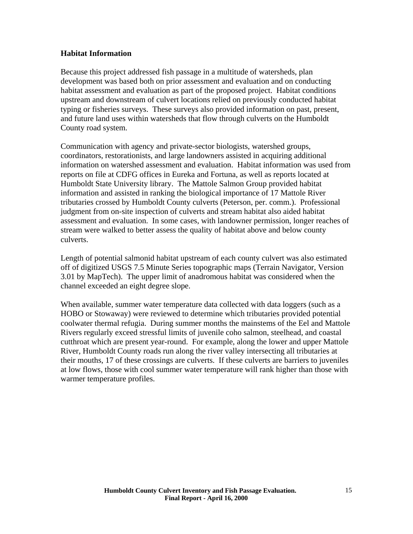### <span id="page-14-0"></span>**Habitat Information**

Because this project addressed fish passage in a multitude of watersheds, plan development was based both on prior assessment and evaluation and on conducting habitat assessment and evaluation as part of the proposed project. Habitat conditions upstream and downstream of culvert locations relied on previously conducted habitat typing or fisheries surveys. These surveys also provided information on past, present, and future land uses within watersheds that flow through culverts on the Humboldt County road system.

Communication with agency and private-sector biologists, watershed groups, coordinators, restorationists, and large landowners assisted in acquiring additional information on watershed assessment and evaluation. Habitat information was used from reports on file at CDFG offices in Eureka and Fortuna, as well as reports located at Humboldt State University library. The Mattole Salmon Group provided habitat information and assisted in ranking the biological importance of 17 Mattole River tributaries crossed by Humboldt County culverts (Peterson, per. comm.). Professional judgment from on-site inspection of culverts and stream habitat also aided habitat assessment and evaluation. In some cases, with landowner permission, longer reaches of stream were walked to better assess the quality of habitat above and below county culverts.

Length of potential salmonid habitat upstream of each county culvert was also estimated off of digitized USGS 7.5 Minute Series topographic maps (Terrain Navigator, Version 3.01 by MapTech). The upper limit of anadromous habitat was considered when the channel exceeded an eight degree slope.

When available, summer water temperature data collected with data loggers (such as a HOBO or Stowaway) were reviewed to determine which tributaries provided potential coolwater thermal refugia. During summer months the mainstems of the Eel and Mattole Rivers regularly exceed stressful limits of juvenile coho salmon, steelhead, and coastal cutthroat which are present year-round. For example, along the lower and upper Mattole River, Humboldt County roads run along the river valley intersecting all tributaries at their mouths, 17 of these crossings are culverts. If these culverts are barriers to juveniles at low flows, those with cool summer water temperature will rank higher than those with warmer temperature profiles.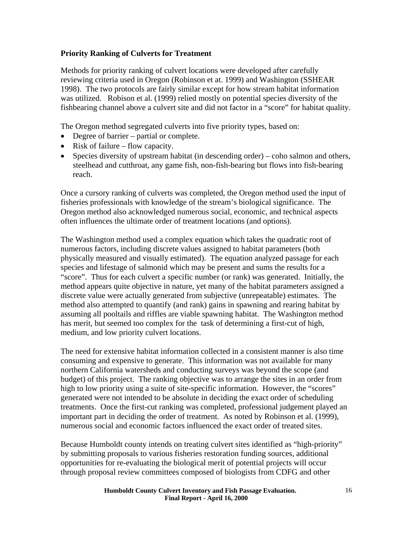## <span id="page-15-0"></span>**Priority Ranking of Culverts for Treatment**

Methods for priority ranking of culvert locations were developed after carefully reviewing criteria used in Oregon (Robinson et at. 1999) and Washington (SSHEAR 1998). The two protocols are fairly similar except for how stream habitat information was utilized. Robison et al. (1999) relied mostly on potential species diversity of the fishbearing channel above a culvert site and did not factor in a "score" for habitat quality.

The Oregon method segregated culverts into five priority types, based on:

- Degree of barrier partial or complete.
- Risk of failure flow capacity.
- Species diversity of upstream habitat (in descending order) coho salmon and others, steelhead and cutthroat, any game fish, non-fish-bearing but flows into fish-bearing reach.

Once a cursory ranking of culverts was completed, the Oregon method used the input of fisheries professionals with knowledge of the stream's biological significance. The Oregon method also acknowledged numerous social, economic, and technical aspects often influences the ultimate order of treatment locations (and options).

The Washington method used a complex equation which takes the quadratic root of numerous factors, including discrete values assigned to habitat parameters (both physically measured and visually estimated). The equation analyzed passage for each species and lifestage of salmonid which may be present and sums the results for a "score". Thus for each culvert a specific number (or rank) was generated. Initially, the method appears quite objective in nature, yet many of the habitat parameters assigned a discrete value were actually generated from subjective (unrepeatable) estimates. The method also attempted to quantify (and rank) gains in spawning and rearing habitat by assuming all pooltails and riffles are viable spawning habitat. The Washington method has merit, but seemed too complex for the task of determining a first-cut of high, medium, and low priority culvert locations.

The need for extensive habitat information collected in a consistent manner is also time consuming and expensive to generate. This information was not available for many northern California watersheds and conducting surveys was beyond the scope (and budget) of this project. The ranking objective was to arrange the sites in an order from high to low priority using a suite of site-specific information. However, the "scores" generated were not intended to be absolute in deciding the exact order of scheduling treatments. Once the first-cut ranking was completed, professional judgement played an important part in deciding the order of treatment. As noted by Robinson et al. (1999), numerous social and economic factors influenced the exact order of treated sites.

Because Humboldt county intends on treating culvert sites identified as "high-priority" by submitting proposals to various fisheries restoration funding sources, additional opportunities for re-evaluating the biological merit of potential projects will occur through proposal review committees composed of biologists from CDFG and other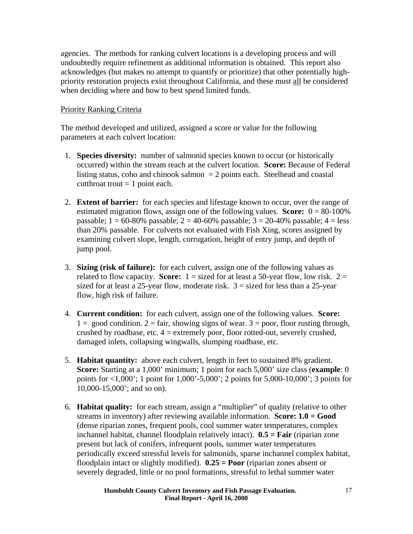<span id="page-16-0"></span>agencies. The methods for ranking culvert locations is a developing process and will undoubtedly require refinement as additional information is obtained. This report also acknowledges (but makes no attempt to quantify or prioritize) that other potentially highpriority restoration projects exist throughout California, and these must all be considered when deciding where and how to best spend limited funds.

### Priority Ranking Criteria

The method developed and utilized, assigned a score or value for the following parameters at each culvert location:

- 1. **Species diversity:** number of salmonid species known to occur (or historically occurred) within the stream reach at the culvert location. **Score:** Because of Federal listing status, coho and chinook salmon  $= 2$  points each. Steelhead and coastal cutthroat trout  $= 1$  point each.
- 2. **Extent of barrier:** for each species and lifestage known to occur, over the range of estimated migration flows, assign one of the following values. **Score:**  $0 = 80-100\%$ passable;  $1 = 60-80\%$  passable;  $2 = 40-60\%$  passable;  $3 = 20-40\%$  passable;  $4 =$  less than 20% passable. For culverts not evaluated with Fish Xing, scores assigned by examining culvert slope, length, corrugation, height of entry jump, and depth of jump pool.
- 3. **Sizing (risk of failure):** for each culvert, assign one of the following values as related to flow capacity. **Score:**  $1 =$  sized for at least a 50-year flow, low risk.  $2 =$ sized for at least a 25-year flow, moderate risk.  $3 =$  sized for less than a 25-year flow, high risk of failure.
- 4. **Current condition:** for each culvert, assign one of the following values. **Score:**   $1 = \text{good condition. } 2 = \text{fair, showing signs of wear. } 3 = \text{poor, floor rusting through,}$ crushed by roadbase, etc.  $4 =$  extremely poor, floor rotted-out, severely crushed, damaged inlets, collapsing wingwalls, slumping roadbase, etc.
- 5. **Habitat quantity:** above each culvert, length in feet to sustained 8% gradient. **Score:** Starting at a 1,000' minimum; 1 point for each 5,000' size class (**example**: 0 points for <1,000'; 1 point for 1,000'-5,000'; 2 points for 5,000-10,000'; 3 points for 10,000-15,000'; and so on).
- 6. **Habitat quality:** for each stream, assign a "multiplier" of quality (relative to other streams in inventory) after reviewing available information. **Score: 1.0 = Good**  (dense riparian zones, frequent pools, cool summer water temperatures, complex inchannel habitat, channel floodplain relatively intact). **0.5 = Fair** (riparian zone present but lack of conifers, infrequent pools, summer water temperatures periodically exceed stressful levels for salmonids, sparse inchannel complex habitat, floodplain intact or slightly modified). **0.25 = Poor** (riparian zones absent or severely degraded, little or no pool formations, stressful to lethal summer water

**Humboldt County Culvert Inventory and Fish Passage Evaluation. Final Report - April 16, 2000**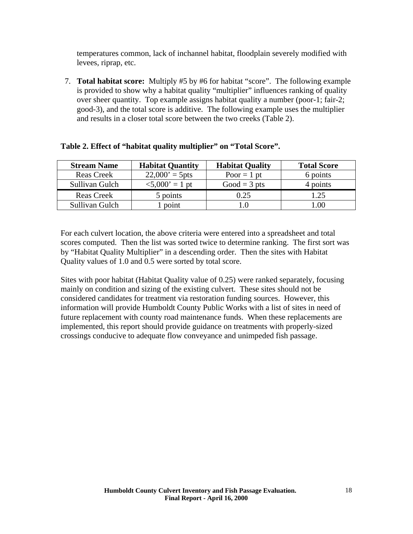temperatures common, lack of inchannel habitat, floodplain severely modified with levees, riprap, etc.

7. **Total habitat score:** Multiply #5 by #6 for habitat "score". The following example is provided to show why a habitat quality "multiplier" influences ranking of quality over sheer quantity. Top example assigns habitat quality a number (poor-1; fair-2; good-3), and the total score is additive. The following example uses the multiplier and results in a closer total score between the two creeks (Table 2).

| <b>Stream Name</b> | <b>Habitat Quantity</b>        | <b>Habitat Quality</b> | <b>Total Score</b> |
|--------------------|--------------------------------|------------------------|--------------------|
| <b>Reas Creek</b>  | $22,000' = 5$ pts              | Poor $= 1$ pt          | 6 points           |
| Sullivan Gulch     | $\langle 5,000 \rangle = 1$ pt | Good = $3$ pts         | 4 points           |
| <b>Reas Creek</b>  | 5 points                       | 0.25                   | 1.25               |
| Sullivan Gulch     | point                          | L.O                    | .00                |

|  |  |  | Table 2. Effect of "habitat quality multiplier" on "Total Score". |  |
|--|--|--|-------------------------------------------------------------------|--|
|  |  |  |                                                                   |  |

For each culvert location, the above criteria were entered into a spreadsheet and total scores computed. Then the list was sorted twice to determine ranking. The first sort was by "Habitat Quality Multiplier" in a descending order. Then the sites with Habitat Quality values of 1.0 and 0.5 were sorted by total score.

Sites with poor habitat (Habitat Quality value of 0.25) were ranked separately, focusing mainly on condition and sizing of the existing culvert. These sites should not be considered candidates for treatment via restoration funding sources. However, this information will provide Humboldt County Public Works with a list of sites in need of future replacement with county road maintenance funds. When these replacements are implemented, this report should provide guidance on treatments with properly-sized crossings conducive to adequate flow conveyance and unimpeded fish passage.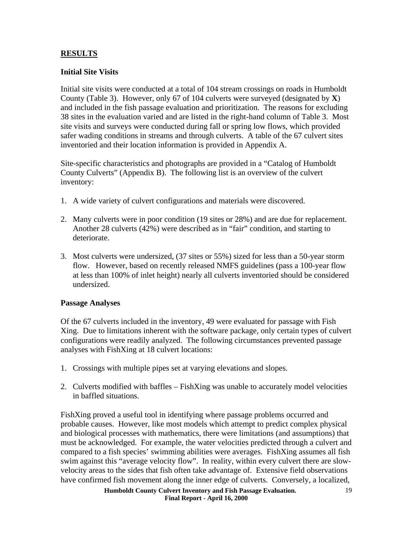## <span id="page-18-0"></span>**RESULTS**

## **Initial Site Visits**

Initial site visits were conducted at a total of 104 stream crossings on roads in Humboldt County (Table 3). However, only 67 of 104 culverts were surveyed (designated by **X**) and included in the fish passage evaluation and prioritization. The reasons for excluding 38 sites in the evaluation varied and are listed in the right-hand column of Table 3. Most site visits and surveys were conducted during fall or spring low flows, which provided safer wading conditions in streams and through culverts. A table of the 67 culvert sites inventoried and their location information is provided in Appendix A.

Site-specific characteristics and photographs are provided in a "Catalog of Humboldt County Culverts" (Appendix B). The following list is an overview of the culvert inventory:

- 1. A wide variety of culvert configurations and materials were discovered.
- 2. Many culverts were in poor condition (19 sites or 28%) and are due for replacement. Another 28 culverts (42%) were described as in "fair" condition, and starting to deteriorate.
- 3. Most culverts were undersized, (37 sites or 55%) sized for less than a 50-year storm flow. However, based on recently released NMFS guidelines (pass a 100-year flow at less than 100% of inlet height) nearly all culverts inventoried should be considered undersized.

#### **Passage Analyses**

Of the 67 culverts included in the inventory, 49 were evaluated for passage with Fish Xing. Due to limitations inherent with the software package, only certain types of culvert configurations were readily analyzed. The following circumstances prevented passage analyses with FishXing at 18 culvert locations:

- 1. Crossings with multiple pipes set at varying elevations and slopes.
- 2. Culverts modified with baffles FishXing was unable to accurately model velocities in baffled situations.

FishXing proved a useful tool in identifying where passage problems occurred and probable causes. However, like most models which attempt to predict complex physical and biological processes with mathematics, there were limitations (and assumptions) that must be acknowledged. For example, the water velocities predicted through a culvert and compared to a fish species' swimming abilities were averages. FishXing assumes all fish swim against this "average velocity flow". In reality, within every culvert there are slowvelocity areas to the sides that fish often take advantage of. Extensive field observations have confirmed fish movement along the inner edge of culverts. Conversely, a localized,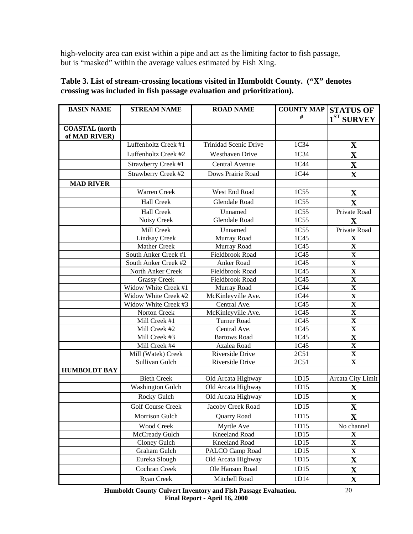high-velocity area can exist within a pipe and act as the limiting factor to fish passage, but is "masked" within the average values estimated by Fish Xing.

| <b>BASIN NAME</b>                      | <b>STREAM NAME</b>       | <b>ROAD NAME</b>       | <b>COUNTY MAP STATUS OF</b> |                         |
|----------------------------------------|--------------------------|------------------------|-----------------------------|-------------------------|
|                                        |                          |                        | #                           | $1ST$ SURVEY            |
| <b>COASTAL</b> (north<br>of MAD RIVER) |                          |                        |                             |                         |
|                                        | Luffenholtz Creek #1     | Trinidad Scenic Drive  | 1C34                        | $\mathbf X$             |
|                                        | Luffenholtz Creek #2     | <b>Westhaven Drive</b> | 1C34                        | $\mathbf X$             |
|                                        | Strawberry Creek #1      | Central Avenue         | 1C44                        | $\mathbf X$             |
|                                        | Strawberry Creek #2      | Dows Prairie Road      | 1C44                        | $\mathbf{X}$            |
| <b>MAD RIVER</b>                       |                          |                        |                             |                         |
|                                        | Warren Creek             | West End Road          | 1C55                        | $\mathbf X$             |
|                                        | <b>Hall Creek</b>        | <b>Glendale Road</b>   | 1C55                        | $\mathbf X$             |
|                                        | <b>Hall Creek</b>        | Unnamed                | 1C55                        | Private Road            |
|                                        | Noisy Creek              | Glendale Road          | 1C55                        | $\mathbf X$             |
|                                        | Mill Creek               | Unnamed                | 1C55                        | Private Road            |
|                                        | <b>Lindsay Creek</b>     | Murray Road            | 1C45                        | $\mathbf X$             |
|                                        | Mather Creek             | Murray Road            | 1C45                        | $\mathbf X$             |
|                                        | South Anker Creek #1     | Fieldbrook Road        | 1C45                        | $\mathbf X$             |
|                                        | South Anker Creek #2     | Anker Road             | 1C45                        | $\mathbf X$             |
|                                        | North Anker Creek        | Fieldbrook Road        | 1C45                        | $\mathbf X$             |
|                                        | <b>Grassy Creek</b>      | Fieldbrook Road        | 1C45                        | $\overline{\mathbf{X}}$ |
|                                        | Widow White Creek #1     | Murray Road            | 1C44                        | $\overline{\mathbf{X}}$ |
|                                        | Widow White Creek #2     | McKinleyville Ave.     | 1C44                        | $\mathbf X$             |
|                                        | Widow White Creek #3     | Central Ave.           | 1C45                        | $\overline{\mathbf{X}}$ |
|                                        | Norton Creek             | McKinleyville Ave.     | 1C45                        | $\overline{\mathbf{X}}$ |
|                                        | Mill Creek #1            | <b>Turner Road</b>     | 1C45                        | $\overline{\mathbf{X}}$ |
|                                        | Mill Creek #2            | Central Ave.           | 1C45                        | $\overline{\mathbf{X}}$ |
|                                        | Mill Creek #3            | <b>Bartows Road</b>    | 1C45                        | $\overline{\mathbf{X}}$ |
|                                        | Mill Creek #4            | Azalea Road            | 1C45                        | $\mathbf X$             |
|                                        | Mill (Watek) Creek       | Riverside Drive        | 2C51                        | $\mathbf X$             |
|                                        | Sullivan Gulch           | Riverside Drive        | 2C51                        | $\mathbf X$             |
| <b>HUMBOLDT BAY</b>                    |                          |                        |                             |                         |
|                                        | <b>Bieth Creek</b>       | Old Arcata Highway     | 1D15                        | Arcata City Limit       |
|                                        | <b>Washington Gulch</b>  | Old Arcata Highway     | 1D15                        | $\mathbf X$             |
|                                        | Rocky Gulch              | Old Arcata Highway     | 1D15                        | $\mathbf X$             |
|                                        | <b>Golf Course Creek</b> | Jacoby Creek Road      | 1D15                        | $\mathbf X$             |
|                                        | Morrison Gulch           | Quarry Road            | 1D15                        | $\mathbf X$             |
|                                        | Wood Creek               | Myrtle Ave             | 1D15                        | No channel              |
|                                        | McCready Gulch           | Kneeland Road          | 1D15                        | $\mathbf X$             |
|                                        | Cloney Gulch             | Kneeland Road          | 1D15                        | $\mathbf X$             |
|                                        | Graham Gulch             | PALCO Camp Road        | 1D15                        | $\mathbf X$             |
|                                        | Eureka Slough            | Old Arcata Highway     | 1D15                        | $\mathbf X$             |
|                                        | Cochran Creek            | Ole Hanson Road        | 1D15                        | $\mathbf X$             |
|                                        | Ryan Creek               | Mitchell Road          | 1D14                        | $\mathbf X$             |

## **Table 3. List of stream-crossing locations visited in Humboldt County. ("X" denotes crossing was included in fish passage evaluation and prioritization).**

**Humboldt County Culvert Inventory and Fish Passage Evaluation. Final Report - April 16, 2000**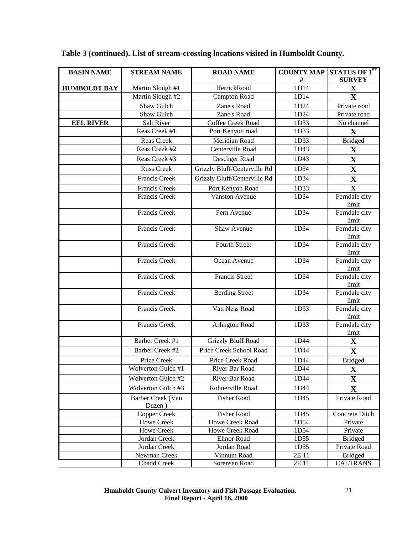| <b>BASIN NAME</b>   | <b>STREAM NAME</b><br><b>ROAD NAME</b> |                              | <b>COUNTY MAP</b> | STATUS OF 1ST          |
|---------------------|----------------------------------------|------------------------------|-------------------|------------------------|
|                     |                                        |                              | #                 | <b>SURVEY</b>          |
| <b>HUMBOLDT BAY</b> | Martin Slough #1                       | HerrickRoad                  | 1D14              | $\mathbf X$            |
|                     | Martin Slough #2                       | Campton Road                 | 1D14              | $\mathbf X$            |
|                     | Shaw Gulch                             | Zane's Road                  | 1D24              | Private road           |
|                     | Shaw Gulch                             | Zane's Road                  | 1D24              | Private road           |
| <b>EEL RIVER</b>    | <b>Salt River</b>                      | Coffee Creek Road            | 1D33              | No channel             |
|                     | Reas Creek #1                          | Port Kenyon road             | 1D33              | X                      |
|                     | Reas Creek                             | Meridian Road                | 1D33              | <b>Bridged</b>         |
|                     | Reas Creek #2                          | Centerville Road             | 1D43              | $\mathbf X$            |
|                     | Reas Creek #3                          | Deschger Road                | 1D43              | $\mathbf X$            |
|                     | <b>Russ Creek</b>                      | Grizzly Bluff/Centerville Rd | 1D34              | $\mathbf X$            |
|                     | Francis Creek                          | Grizzly Bluff/Centerville Rd | 1D34              | $\mathbf X$            |
|                     | Francis Creek                          | Port Kenyon Road             | 1D33              | $\mathbf X$            |
|                     | Francis Creek                          | <b>Vanston Avenue</b>        | 1D34              | Ferndale city          |
|                     |                                        |                              |                   | limit                  |
|                     | Francis Creek                          | Fern Avenue                  | 1D34              | Ferndale city<br>limit |
|                     | Francis Creek                          | Shaw Avenue                  | 1D34              | Ferndale city<br>limit |
|                     | Francis Creek                          | <b>Fourth Street</b>         | 1D34              | Ferndale city<br>limit |
|                     | Francis Creek                          | Ocean Avenue                 | 1D34              | Ferndale city<br>limit |
|                     | Francis Creek                          | Francis Street               | 1D34              | Ferndale city<br>limit |
|                     | <b>Francis Creek</b>                   | <b>Berding Street</b>        | 1D34              | Ferndale city<br>limit |
|                     | Francis Creek                          | Van Ness Road                | 1D33              | Ferndale city<br>limit |
|                     | Francis Creek                          | Arlington Road               | 1D33              | Ferndale city<br>limit |
|                     | <b>Barber Creek #1</b>                 | <b>Grizzly Bluff Road</b>    | 1D44              | $\mathbf X$            |
|                     | Barber Creek #2                        | Price Creek School Road      | 1D44              | $\mathbf X$            |
|                     | Price Creek                            | Price Creek Road             | 1D44              | <b>Bridged</b>         |
|                     | Wolverton Gulch #1                     | River Bar Road               | 1D44              | X                      |
|                     | Wolverton Gulch #2                     | River Bar Road               | 1D44              | $\mathbf X$            |
|                     | Wolverton Gulch #3                     | Rohnerville Road             | 1D44              | $\mathbf X$            |
|                     | Barber Creek (Van                      | <b>Fisher Road</b>           | 1D45              | Private Road           |
|                     | Duzen)                                 |                              |                   |                        |
|                     | Copper Creek                           | Fisher Road                  | 1D45              | Concrete Ditch         |
|                     | <b>Howe Creek</b>                      | Howe Creek Road              | 1D54              | Private                |
|                     | <b>Howe Creek</b>                      | Howe Creek Road              | 1D54              | Private                |
|                     | Jordan Creek                           | Elinor Road                  | 1D55              | <b>Bridged</b>         |
|                     | Jordan Creek                           | Jordan Road                  | 1D55              | Private Road           |
|                     | Newman Creek                           | Vinnum Road                  | 2E 11             | <b>Bridged</b>         |
|                     | <b>Chadd Creek</b>                     | Sorensen Road                | 2E 11             | <b>CALTRANS</b>        |

# **Table 3 (continued). List of stream-crossing locations visited in Humboldt County.**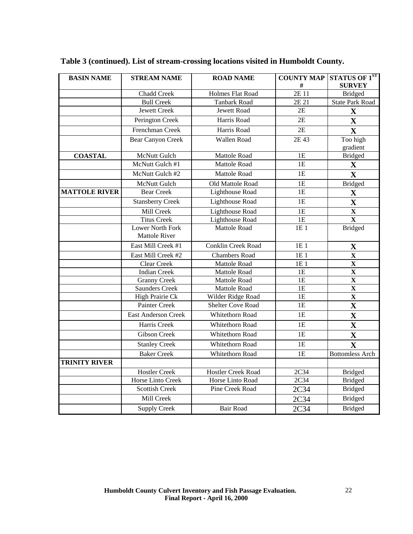| <b>BASIN NAME</b>    | <b>STREAM NAME</b><br><b>ROAD NAME</b>   |                           | <b>COUNTY MAP</b><br># | <b>STATUS OF 1ST</b><br><b>SURVEY</b> |
|----------------------|------------------------------------------|---------------------------|------------------------|---------------------------------------|
|                      | <b>Chadd Creek</b>                       | Holmes Flat Road          | 2E 11                  | <b>Bridged</b>                        |
|                      | <b>Bull Creek</b>                        | <b>Tanbark Road</b>       | 2E 21                  | <b>State Park Road</b>                |
|                      | <b>Jewett Creek</b>                      | <b>Jewett Road</b>        | 2E                     | $\mathbf X$                           |
|                      | Perington Creek                          | Harris Road               | 2E                     | $\mathbf X$                           |
|                      | Frenchman Creek                          | Harris Road               | $\overline{2E}$        | $\overline{\mathbf{X}}$               |
|                      | <b>Bear Canyon Creek</b>                 | Wallen Road               | 2E 43                  | Too high                              |
|                      |                                          |                           |                        | gradient                              |
| <b>COASTAL</b>       | <b>McNutt Gulch</b>                      | Mattole Road              | 1E                     | <b>Bridged</b>                        |
|                      | McNutt Gulch #1                          | <b>Mattole Road</b>       | 1E                     | $\mathbf X$                           |
|                      | McNutt Gulch #2                          | Mattole Road              | 1E                     | $\mathbf X$                           |
|                      | McNutt Gulch                             | Old Mattole Road          | 1E                     | <b>Bridged</b>                        |
| <b>MATTOLE RIVER</b> | <b>Bear Creek</b>                        | Lighthouse Road           | 1E                     | $\mathbf X$                           |
|                      | <b>Stansberry Creek</b>                  | <b>Lighthouse Road</b>    | 1E                     | $\mathbf X$                           |
|                      | Mill Creek                               | Lighthouse Road           | 1E                     | $\mathbf{X}$                          |
|                      | <b>Titus Creek</b>                       | Lighthouse Road           | 1E                     | $\overline{\mathbf{X}}$               |
|                      | Lower North Fork<br><b>Mattole River</b> | <b>Mattole Road</b>       | 1E 1                   | <b>Bridged</b>                        |
|                      | East Mill Creek #1                       | <b>Conklin Creek Road</b> | 1E1                    | $\mathbf X$                           |
|                      | East Mill Creek #2                       | <b>Chambers Road</b>      | 1E 1                   | $\overline{\mathbf{X}}$               |
|                      | Clear Creek                              | <b>Mattole Road</b>       | 1E 1                   | $\overline{\mathbf{X}}$               |
|                      | <b>Indian Creek</b>                      | Mattole Road              | 1E                     | $\overline{\mathbf{X}}$               |
|                      | <b>Granny Creek</b>                      | Mattole Road              | 1E                     | $\overline{\mathbf{X}}$               |
|                      | <b>Saunders Creek</b>                    | Mattole Road              | 1E                     | $\overline{\mathbf{X}}$               |
|                      | High Prairie Ck                          | Wilder Ridge Road         | 1E                     | $\overline{\mathbf{X}}$               |
|                      | Painter Creek                            | Shelter Cove Road         | 1E                     | $\mathbf X$                           |
|                      | <b>East Anderson Creek</b>               | Whitethorn Road           | 1E                     | $\overline{\mathbf{X}}$               |
|                      | Harris Creek                             | Whitethorn Road           | 1E                     | $\mathbf X$                           |
|                      | Gibson Creek                             | Whitethorn Road           | 1E                     | $\mathbf{X}$                          |
|                      | <b>Stanley Creek</b>                     | Whitethorn Road           | 1E                     | $\overline{\mathbf{X}}$               |
|                      | <b>Baker Creek</b>                       | Whitethorn Road           | 1E                     | <b>Bottomless Arch</b>                |
| <b>TRINITY RIVER</b> |                                          |                           |                        |                                       |
|                      | <b>Hostler Creek</b>                     | <b>Hostler Creek Road</b> | 2C34                   | <b>Bridged</b>                        |
|                      | <b>Horse Linto Creek</b>                 | Horse Linto Road          | 2C34                   | <b>Bridged</b>                        |
|                      | <b>Scottish Creek</b>                    | Pine Creek Road           | 2C34                   | <b>Bridged</b>                        |
|                      | Mill Creek                               |                           | 2C34                   | <b>Bridged</b>                        |
|                      | <b>Supply Creek</b>                      | <b>Bair Road</b>          | 2C34                   | <b>Bridged</b>                        |

# **Table 3 (continued). List of stream-crossing locations visited in Humboldt County.**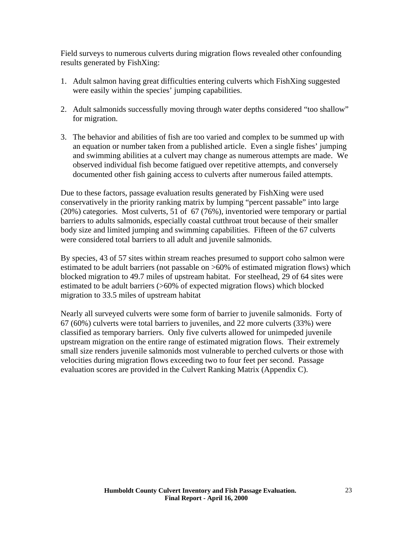Field surveys to numerous culverts during migration flows revealed other confounding results generated by FishXing:

- 1. Adult salmon having great difficulties entering culverts which FishXing suggested were easily within the species' jumping capabilities.
- 2. Adult salmonids successfully moving through water depths considered "too shallow" for migration.
- 3. The behavior and abilities of fish are too varied and complex to be summed up with an equation or number taken from a published article. Even a single fishes' jumping and swimming abilities at a culvert may change as numerous attempts are made. We observed individual fish become fatigued over repetitive attempts, and conversely documented other fish gaining access to culverts after numerous failed attempts.

Due to these factors, passage evaluation results generated by FishXing were used conservatively in the priority ranking matrix by lumping "percent passable" into large (20%) categories. Most culverts, 51 of 67 (76%), inventoried were temporary or partial barriers to adults salmonids, especially coastal cutthroat trout because of their smaller body size and limited jumping and swimming capabilities. Fifteen of the 67 culverts were considered total barriers to all adult and juvenile salmonids.

By species, 43 of 57 sites within stream reaches presumed to support coho salmon were estimated to be adult barriers (not passable on >60% of estimated migration flows) which blocked migration to 49.7 miles of upstream habitat. For steelhead, 29 of 64 sites were estimated to be adult barriers (>60% of expected migration flows) which blocked migration to 33.5 miles of upstream habitat

Nearly all surveyed culverts were some form of barrier to juvenile salmonids. Forty of 67 (60%) culverts were total barriers to juveniles, and 22 more culverts (33%) were classified as temporary barriers. Only five culverts allowed for unimpeded juvenile upstream migration on the entire range of estimated migration flows. Their extremely small size renders juvenile salmonids most vulnerable to perched culverts or those with velocities during migration flows exceeding two to four feet per second. Passage evaluation scores are provided in the Culvert Ranking Matrix (Appendix C).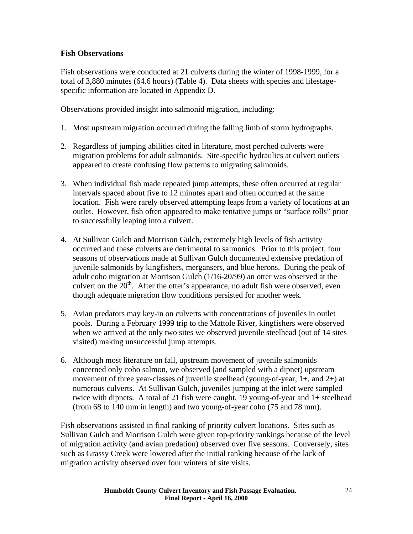## <span id="page-23-0"></span>**Fish Observations**

Fish observations were conducted at 21 culverts during the winter of 1998-1999, for a total of 3,880 minutes (64.6 hours) (Table 4). Data sheets with species and lifestagespecific information are located in Appendix D.

Observations provided insight into salmonid migration, including:

- 1. Most upstream migration occurred during the falling limb of storm hydrographs.
- 2. Regardless of jumping abilities cited in literature, most perched culverts were migration problems for adult salmonids. Site-specific hydraulics at culvert outlets appeared to create confusing flow patterns to migrating salmonids.
- 3. When individual fish made repeated jump attempts, these often occurred at regular intervals spaced about five to 12 minutes apart and often occurred at the same location. Fish were rarely observed attempting leaps from a variety of locations at an outlet. However, fish often appeared to make tentative jumps or "surface rolls" prior to successfully leaping into a culvert.
- 4. At Sullivan Gulch and Morrison Gulch, extremely high levels of fish activity occurred and these culverts are detrimental to salmonids. Prior to this project, four seasons of observations made at Sullivan Gulch documented extensive predation of juvenile salmonids by kingfishers, mergansers, and blue herons. During the peak of adult coho migration at Morrison Gulch (1/16-20/99) an otter was observed at the culvert on the  $20<sup>th</sup>$ . After the otter's appearance, no adult fish were observed, even though adequate migration flow conditions persisted for another week.
- 5. Avian predators may key-in on culverts with concentrations of juveniles in outlet pools. During a February 1999 trip to the Mattole River, kingfishers were observed when we arrived at the only two sites we observed juvenile steelhead (out of 14 sites visited) making unsuccessful jump attempts.
- 6. Although most literature on fall, upstream movement of juvenile salmonids concerned only coho salmon, we observed (and sampled with a dipnet) upstream movement of three year-classes of juvenile steelhead (young-of-year, 1+, and 2+) at numerous culverts. At Sullivan Gulch, juveniles jumping at the inlet were sampled twice with dipnets. A total of 21 fish were caught, 19 young-of-year and 1+ steelhead (from 68 to 140 mm in length) and two young-of-year coho (75 and 78 mm).

Fish observations assisted in final ranking of priority culvert locations. Sites such as Sullivan Gulch and Morrison Gulch were given top-priority rankings because of the level of migration activity (and avian predation) observed over five seasons. Conversely, sites such as Grassy Creek were lowered after the initial ranking because of the lack of migration activity observed over four winters of site visits.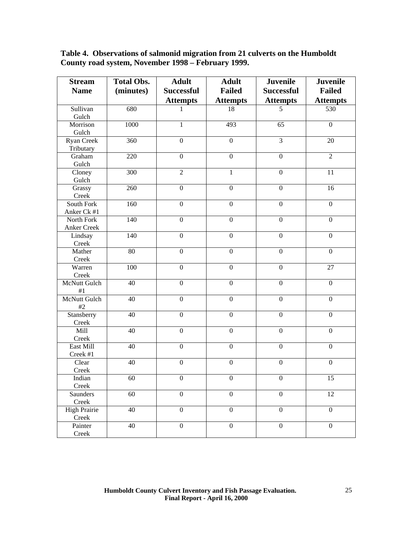| Table 4. Observations of salmonid migration from 21 culverts on the Humboldt |
|------------------------------------------------------------------------------|
| County road system, November 1998 – February 1999.                           |

| <b>Stream</b>         | <b>Total Obs.</b> | <b>Adult</b>      | <b>Adult</b>     | <b>Juvenile</b>   | <b>Juvenile</b>  |
|-----------------------|-------------------|-------------------|------------------|-------------------|------------------|
| <b>Name</b>           | (minutes)         | <b>Successful</b> | <b>Failed</b>    | <b>Successful</b> | <b>Failed</b>    |
|                       |                   | <b>Attempts</b>   | <b>Attempts</b>  | <b>Attempts</b>   | <b>Attempts</b>  |
| Sullivan              | 680               | 1                 | 18               | 5                 | 530              |
| Gulch                 |                   |                   |                  |                   |                  |
| Morrison              | 1000              | $\mathbf{1}$      | 493              | 65                | $\boldsymbol{0}$ |
| Gulch                 |                   |                   |                  |                   |                  |
| Ryan Creek            | 360               | $\overline{0}$    | $\overline{0}$   | $\overline{3}$    | 20               |
| Tributary             |                   |                   |                  |                   |                  |
| Graham                | 220               | $\overline{0}$    | $\overline{0}$   | $\boldsymbol{0}$  | $\overline{2}$   |
| Gulch                 |                   |                   |                  |                   |                  |
| Cloney                | 300               | $\overline{2}$    | $\mathbf{1}$     | $\mathbf{0}$      | 11               |
| Gulch                 |                   |                   |                  |                   |                  |
| Grassy                | 260               | $\overline{0}$    | $\overline{0}$   | $\mathbf{0}$      | 16               |
| Creek                 |                   |                   |                  |                   |                  |
| South Fork            | 160               | $\mathbf{0}$      | $\overline{0}$   | $\boldsymbol{0}$  | $\mathbf{0}$     |
| Anker Ck #1           |                   |                   |                  |                   |                  |
| North Fork            | 140               | $\boldsymbol{0}$  | $\boldsymbol{0}$ | $\boldsymbol{0}$  | $\boldsymbol{0}$ |
| Anker Creek           |                   |                   |                  |                   |                  |
| Lindsay               | 140               | $\boldsymbol{0}$  | $\overline{0}$   | $\boldsymbol{0}$  | $\mathbf{0}$     |
| Creek                 |                   |                   |                  |                   |                  |
| Mather                | 80                | $\mathbf{0}$      | $\overline{0}$   | $\boldsymbol{0}$  | $\boldsymbol{0}$ |
| Creek                 |                   |                   |                  |                   |                  |
| Warren                | 100               | $\mathbf{0}$      | $\boldsymbol{0}$ | $\boldsymbol{0}$  | 27               |
| Creek<br>McNutt Gulch | 40                | $\mathbf{0}$      | $\overline{0}$   | $\boldsymbol{0}$  | $\mathbf{0}$     |
| #1                    |                   |                   |                  |                   |                  |
| <b>McNutt Gulch</b>   | 40                | $\mathbf{0}$      | $\overline{0}$   | $\boldsymbol{0}$  | $\mathbf{0}$     |
| #2                    |                   |                   |                  |                   |                  |
| Stansberry            | 40                | $\boldsymbol{0}$  | $\boldsymbol{0}$ | $\boldsymbol{0}$  | $\boldsymbol{0}$ |
| Creek                 |                   |                   |                  |                   |                  |
| Mill                  | 40                | $\mathbf{0}$      | $\mathbf{0}$     | $\mathbf{0}$      | $\mathbf{0}$     |
| Creek                 |                   |                   |                  |                   |                  |
| East Mill             | 40                | $\mathbf{0}$      | $\boldsymbol{0}$ | $\mathbf{0}$      | $\mathbf{0}$     |
| Creek #1              |                   |                   |                  |                   |                  |
| Clear                 | 40                | $\overline{0}$    | $\overline{0}$   | $\boldsymbol{0}$  | $\mathbf{0}$     |
| Creek                 |                   |                   |                  |                   |                  |
| Indian                | 60                | $\boldsymbol{0}$  | $\boldsymbol{0}$ | $\boldsymbol{0}$  | 15               |
| Creek                 |                   |                   |                  |                   |                  |
| Saunders              | 60                | $\boldsymbol{0}$  | $\boldsymbol{0}$ | $\boldsymbol{0}$  | 12               |
| Creek                 |                   |                   |                  |                   |                  |
| <b>High Prairie</b>   | 40                | $\boldsymbol{0}$  | $\boldsymbol{0}$ | $\boldsymbol{0}$  | $\boldsymbol{0}$ |
| Creek                 |                   |                   |                  |                   |                  |
| Painter               | 40                | $\boldsymbol{0}$  | $\boldsymbol{0}$ | $\boldsymbol{0}$  | $\boldsymbol{0}$ |
| Creek                 |                   |                   |                  |                   |                  |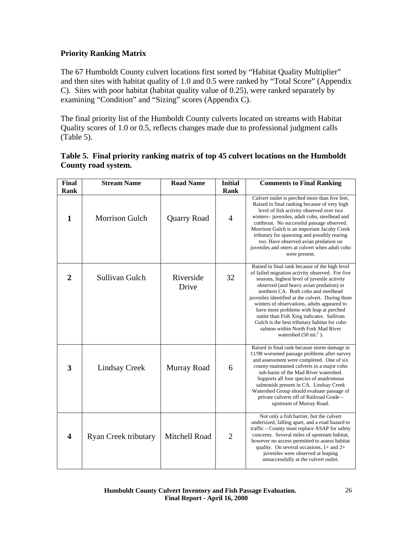## <span id="page-25-0"></span>**Priority Ranking Matrix**

The 67 Humboldt County culvert locations first sorted by "Habitat Quality Multiplier" and then sites with habitat quality of 1.0 and 0.5 were ranked by "Total Score" (Appendix C). Sites with poor habitat (habitat quality value of 0.25), were ranked separately by examining "Condition" and "Sizing" scores (Appendix C).

The final priority list of the Humboldt County culverts located on streams with Habitat Quality scores of 1.0 or 0.5, reflects changes made due to professional judgment calls (Table 5).

| Table 5. Final priority ranking matrix of top 45 culvert locations on the Humboldt |
|------------------------------------------------------------------------------------|
| County road system.                                                                |

| <b>Final</b>            | <b>Stream Name</b>          | <b>Road Name</b>   | <b>Initial</b> | <b>Comments to Final Ranking</b>                                                                                                                                                                                                                                                                                                                                                                                                                                                                                                                          |
|-------------------------|-----------------------------|--------------------|----------------|-----------------------------------------------------------------------------------------------------------------------------------------------------------------------------------------------------------------------------------------------------------------------------------------------------------------------------------------------------------------------------------------------------------------------------------------------------------------------------------------------------------------------------------------------------------|
| Rank                    |                             |                    | Rank           |                                                                                                                                                                                                                                                                                                                                                                                                                                                                                                                                                           |
| $\mathbf{1}$            | <b>Morrison Gulch</b>       | <b>Quarry Road</b> | $\overline{4}$ | Culvert outlet is perched more than five feet.<br>Raised in final ranking because of very high<br>level of fish activity observed over two<br>winters-juveniles, adult coho, steelhead and<br>cutthroat. No successful passage observed.<br>Morrison Gulch is an important Jacoby Creek<br>tributary for spawning and possibly rearing<br>too. Have observed avian predation on<br>juveniles and otters at culvert when adult coho<br>were present.                                                                                                       |
| $\overline{2}$          | Sullivan Gulch              | Riverside<br>Drive | 32             | Raised in final rank because of the high level<br>of failed migration activity observed. For five<br>seasons, highest level of juvenile activity<br>observed (and heavy avian predation) in<br>northern CA. Both coho and steelhead<br>juveniles identified at the culvert. During three<br>winters of observations, adults appeared to<br>have more problems with leap at perched<br>outlet than Fish Xing indicates. Sullivan<br>Gulch is the best tributary habitat for coho<br>salmon within North Fork Mad River<br>watershed $(50 \text{ mi.}^2)$ . |
| $\overline{\mathbf{3}}$ | <b>Lindsay Creek</b>        | Murray Road        | 6              | Raised in final rank because storm damage in<br>11/98 worsened passage problems after survey<br>and assessment were completed. One of six<br>county-maintained culverts in a major coho<br>sub-basin of the Mad River watershed.<br>Supports all four species of anadromous<br>salmonids present in CA. Lindsay Creek<br>Watershed Group should evaluate passage of<br>private culverts off of Railroad Grade -<br>upstream of Murray Road.                                                                                                               |
| $\overline{\mathbf{4}}$ | <b>Ryan Creek tributary</b> | Mitchell Road      | $\overline{2}$ | Not only a fish barrier, but the culvert<br>undersized, falling apart, and a road hazard to<br>traffic – County must replace ASAP for safety<br>concerns. Several miles of upstream habitat,<br>however no access permitted to assess habitat<br>quality. On several occasions, $1+$ and $2+$<br>juveniles were observed at leaping<br>unsuccessfully at the culvert outlet.                                                                                                                                                                              |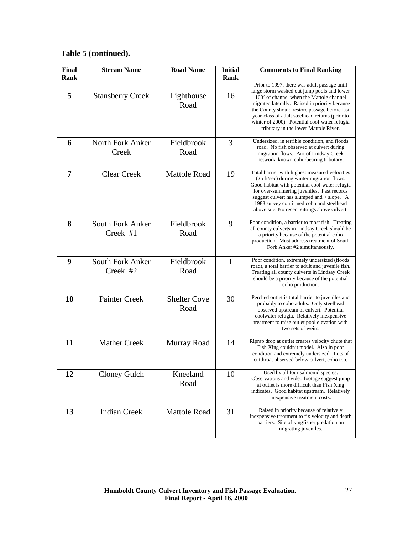| <b>Final</b><br>Rank | <b>Stream Name</b>                  | <b>Road Name</b>            | <b>Initial</b><br>Rank | <b>Comments to Final Ranking</b>                                                                                                                                                                                                                                                                                                                                                        |
|----------------------|-------------------------------------|-----------------------------|------------------------|-----------------------------------------------------------------------------------------------------------------------------------------------------------------------------------------------------------------------------------------------------------------------------------------------------------------------------------------------------------------------------------------|
| 5                    | <b>Stansberry Creek</b>             | Lighthouse<br>Road          | 16                     | Prior to 1997, there was adult passage until<br>large storm washed out jump pools and lower<br>160' of channel when the Mattole channel<br>migrated laterally. Raised in priority because<br>the County should restore passage before last<br>year-class of adult steelhead returns (prior to<br>winter of 2000). Potential cool-water refugia<br>tributary in the lower Mattole River. |
| 6                    | North Fork Anker<br>Creek           | Fieldbrook<br>Road          | 3                      | Undersized, in terrible condition, and floods<br>road. No fish observed at culvert during<br>migration flows. Part of Lindsay Creek<br>network, known coho-bearing tributary.                                                                                                                                                                                                           |
| 7                    | <b>Clear Creek</b>                  | <b>Mattole Road</b>         | 19                     | Total barrier with highest measured velocities<br>(25 ft/sec) during winter migration flows.<br>Good habitat with potential cool-water refugia<br>for over-summering juveniles. Past records<br>suggest culvert has slumped and > slope. A<br>1983 survey confirmed coho and steelhead<br>above site. No recent sittings above culvert.                                                 |
| 8                    | <b>South Fork Anker</b><br>Creek #1 | Fieldbrook<br>Road          | 9                      | Poor condition, a barrier to most fish. Treating<br>all county culverts in Lindsay Creek should be<br>a priority because of the potential coho<br>production. Must address treatment of South<br>Fork Anker #2 simultaneously.                                                                                                                                                          |
| 9                    | <b>South Fork Anker</b><br>Creek #2 | Fieldbrook<br>Road          | $\mathbf{1}$           | Poor condition, extremely undersized (floods<br>road), a total barrier to adult and juvenile fish.<br>Treating all county culverts in Lindsay Creek<br>should be a priority because of the potential<br>coho production.                                                                                                                                                                |
| 10                   | <b>Painter Creek</b>                | <b>Shelter Cove</b><br>Road | 30                     | Perched outlet is total barrier to juveniles and<br>probably to coho adults. Only steelhead<br>observed upstream of culvert. Potential<br>coolwater refugia. Relatively inexpensive<br>treatment to raise outlet pool elevation with<br>two sets of weirs.                                                                                                                              |
| 11                   | <b>Mather Creek</b>                 | Murray Road                 | 14                     | Riprap drop at outlet creates velocity chute that<br>Fish Xing couldn't model. Also in poor<br>condition and extremely undersized. Lots of<br>cutthroat observed below culvert, coho too.                                                                                                                                                                                               |
| 12                   | <b>Cloney Gulch</b>                 | Kneeland<br>Road            | 10                     | Used by all four salmonid species.<br>Observations and video footage suggest jump<br>at outlet is more difficult than Fish Xing<br>indicates. Good habitat upstream. Relatively<br>inexpensive treatment costs.                                                                                                                                                                         |
| 13                   | <b>Indian Creek</b>                 | <b>Mattole Road</b>         | 31                     | Raised in priority because of relatively<br>inexpensive treatment to fix velocity and depth<br>barriers. Site of kingfisher predation on<br>migrating juveniles.                                                                                                                                                                                                                        |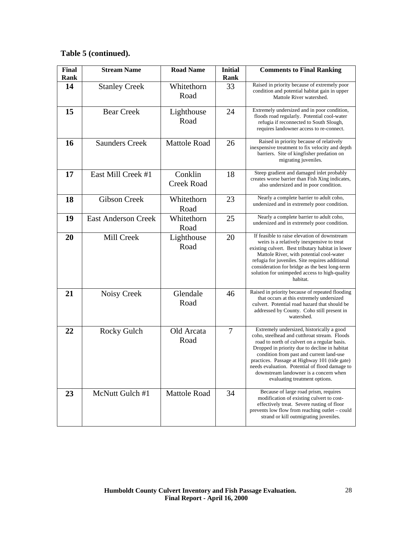| <b>Final</b><br>Rank | <b>Stream Name</b>         | <b>Road Name</b>             | <b>Initial</b><br>Rank | <b>Comments to Final Ranking</b>                                                                                                                                                                                                                                                                                                                                                                                     |
|----------------------|----------------------------|------------------------------|------------------------|----------------------------------------------------------------------------------------------------------------------------------------------------------------------------------------------------------------------------------------------------------------------------------------------------------------------------------------------------------------------------------------------------------------------|
| 14                   | <b>Stanley Creek</b>       | Whitethorn<br>Road           | 33                     | Raised in priority because of extremely poor<br>condition and potential habitat gain in upper<br>Mattole River watershed.                                                                                                                                                                                                                                                                                            |
| 15                   | <b>Bear Creek</b>          | Lighthouse<br>Road           | 24                     | Extremely undersized and in poor condition,<br>floods road regularly. Potential cool-water<br>refugia if reconnected to South Slough,<br>requires landowner access to re-connect.                                                                                                                                                                                                                                    |
| 16                   | <b>Saunders Creek</b>      | <b>Mattole Road</b>          | 26                     | Raised in priority because of relatively<br>inexpensive treatment to fix velocity and depth<br>barriers. Site of kingfisher predation on<br>migrating juveniles.                                                                                                                                                                                                                                                     |
| 17                   | East Mill Creek #1         | Conklin<br><b>Creek Road</b> | 18                     | Steep gradient and damaged inlet probably<br>creates worse barrier than Fish Xing indicates,<br>also undersized and in poor condition.                                                                                                                                                                                                                                                                               |
| 18                   | <b>Gibson Creek</b>        | Whitethorn<br>Road           | 23                     | Nearly a complete barrier to adult coho,<br>undersized and in extremely poor condition.                                                                                                                                                                                                                                                                                                                              |
| 19                   | <b>East Anderson Creek</b> | Whitethorn<br>Road           | 25                     | Nearly a complete barrier to adult coho,<br>undersized and in extremely poor condition.                                                                                                                                                                                                                                                                                                                              |
| 20                   | Mill Creek                 | Lighthouse<br>Road           | 20                     | If feasible to raise elevation of downstream<br>weirs is a relatively inexpensive to treat<br>existing culvert. Best tributary habitat in lower<br>Mattole River, with potential cool-water<br>refugia for juveniles. Site requires additional<br>consideration for bridge as the best long-term<br>solution for unimpeded access to high-quality<br>habitat.                                                        |
| 21                   | Noisy Creek                | Glendale<br>Road             | 46                     | Raised in priority because of repeated flooding<br>that occurs at this extremely undersized<br>culvert. Potential road hazard that should be<br>addressed by County. Coho still present in<br>watershed.                                                                                                                                                                                                             |
| 22                   | Rocky Gulch                | Old Arcata<br>Road           | 7                      | Extremely undersized, historically a good<br>coho, steelhead and cutthroat stream. Floods<br>road to north of culvert on a regular basis.<br>Dropped in priority due to decline in habitat<br>condition from past and current land-use<br>practices. Passage at Highway 101 (tide gate)<br>needs evaluation. Potential of flood damage to<br>downstream landowner is a concern when<br>evaluating treatment options. |
| 23                   | McNutt Gulch #1            | <b>Mattole Road</b>          | 34                     | Because of large road prism, requires<br>modification of existing culvert to cost-<br>effectively treat. Severe rusting of floor<br>prevents low flow from reaching outlet – could<br>strand or kill outmigrating juveniles.                                                                                                                                                                                         |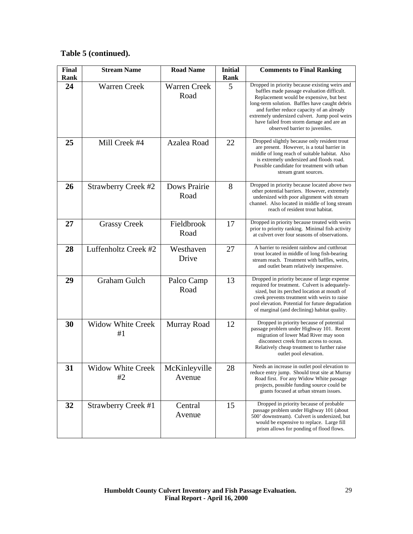| Final<br>Rank | <b>Stream Name</b>             | <b>Road Name</b>            | <b>Initial</b><br>Rank | <b>Comments to Final Ranking</b>                                                                                                                                                                                                                                                                                                                                       |
|---------------|--------------------------------|-----------------------------|------------------------|------------------------------------------------------------------------------------------------------------------------------------------------------------------------------------------------------------------------------------------------------------------------------------------------------------------------------------------------------------------------|
| 24            | <b>Warren Creek</b>            | <b>Warren Creek</b><br>Road | 5                      | Dropped in priority because existing weirs and<br>baffles made passage evaluation difficult.<br>Replacement would be expensive, but best<br>long-term solution. Baffles have caught debris<br>and further reduce capacity of an already<br>extremely undersized culvert. Jump pool weirs<br>have failed from storm damage and are an<br>observed barrier to juveniles. |
| 25            | Mill Creek #4                  | Azalea Road                 | 22                     | Dropped slightly because only resident trout<br>are present. However, is a total barrier in<br>middle of long reach of suitable habitat. Also<br>is extremely undersized and floods road.<br>Possible candidate for treatment with urban<br>stream grant sources.                                                                                                      |
| 26            | <b>Strawberry Creek #2</b>     | <b>Dows Prairie</b><br>Road | 8                      | Dropped in priority because located above two<br>other potential barriers. However, extremely<br>undersized with poor alignment with stream<br>channel. Also located in middle of long stream<br>reach of resident trout habitat.                                                                                                                                      |
| 27            | <b>Grassy Creek</b>            | Fieldbrook<br>Road          | 17                     | Dropped in priority because treated with weirs<br>prior to priority ranking. Minimal fish activity<br>at culvert over four seasons of observations.                                                                                                                                                                                                                    |
| 28            | Luffenholtz Creek #2           | Westhaven<br>Drive          | 27                     | A barrier to resident rainbow and cutthroat<br>trout located in middle of long fish-bearing<br>stream reach. Treatment with baffles, weirs,<br>and outlet beam relatively inexpensive.                                                                                                                                                                                 |
| 29            | Graham Gulch                   | Palco Camp<br>Road          | 13                     | Dropped in priority because of large expense<br>required for treatment. Culvert is adequately-<br>sized, but its perched location at mouth of<br>creek prevents treatment with weirs to raise<br>pool elevation. Potential for future degradation<br>of marginal (and declining) habitat quality.                                                                      |
| 30            | <b>Widow White Creek</b><br>#1 | Murray Road                 | 12                     | Dropped in priority because of potential<br>passage problem under Highway 101. Recent<br>migration of lower Mad River may soon<br>disconnect creek from access to ocean.<br>Relatively cheap treatment to further raise<br>outlet pool elevation.                                                                                                                      |
| 31            | <b>Widow White Creek</b><br>#2 | McKinleyville<br>Avenue     | 28                     | Needs an increase in outlet pool elevation to<br>reduce entry jump. Should treat site at Murray<br>Road first. For any Widow White passage<br>projects, possible funding source could be<br>grants focused at urban stream issues.                                                                                                                                     |
| 32            | <b>Strawberry Creek #1</b>     | Central<br>Avenue           | 15                     | Dropped in priority because of probable<br>passage problem under Highway 101 (about<br>500' downstream). Culvert is undersized, but<br>would be expensive to replace. Large fill<br>prism allows for ponding of flood flows.                                                                                                                                           |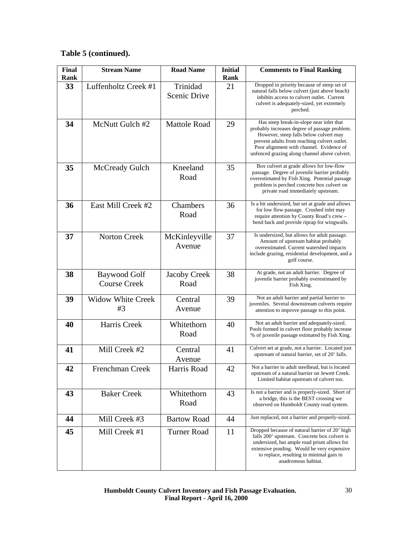| <b>Final</b><br>Rank | <b>Stream Name</b>                         | <b>Road Name</b>            | <b>Initial</b><br>Rank | <b>Comments to Final Ranking</b>                                                                                                                                                                                                                                                 |
|----------------------|--------------------------------------------|-----------------------------|------------------------|----------------------------------------------------------------------------------------------------------------------------------------------------------------------------------------------------------------------------------------------------------------------------------|
| 33                   | Luffenholtz Creek #1                       | Trinidad<br>Scenic Drive    | 21                     | Dropped in priority because of steep set of<br>natural falls below culvert (just above beach)<br>inhibits access to culvert outlet. Current<br>culvert is adequately-sized, yet extremely<br>perched.                                                                            |
| 34                   | McNutt Gulch #2                            | <b>Mattole Road</b>         | 29                     | Has steep break-in-slope near inlet that<br>probably increases degree of passage problem.<br>However, steep falls below culvert may<br>prevent adults from reaching culvert outlet.<br>Poor alignment with channel. Evidence of<br>unfenced grazing along channel above culvert. |
| 35                   | McCready Gulch                             | Kneeland<br>Road            | 35                     | Box culvert at grade allows for low-flow<br>passage. Degree of juvenile barrier probably<br>overestimated by Fish Xing. Potential passage<br>problem is perched concrete box culvert on<br>private road immediately upstream.                                                    |
| 36                   | East Mill Creek #2                         | Chambers<br>Road            | 36                     | Is a bit undersized, but set at grade and allows<br>for low flow passage. Crushed inlet may<br>require attention by County Road's crew -<br>bend back and provide riprap for wingwalls.                                                                                          |
| 37                   | <b>Norton Creek</b>                        | McKinleyville<br>Avenue     | 37                     | Is undersized, but allows for adult passage.<br>Amount of upstream habitat probably<br>overestimated. Current watershed impacts<br>include grazing, residential development, and a<br>golf course.                                                                               |
| 38                   | <b>Baywood Golf</b><br><b>Course Creek</b> | <b>Jacoby Creek</b><br>Road | 38                     | At grade, not an adult barrier. Degree of<br>juvenile barrier probably overestimated by<br>Fish Xing.                                                                                                                                                                            |
| 39                   | <b>Widow White Creek</b><br>#3             | Central<br>Avenue           | 39                     | Not an adult barrier and partial barrier to<br>juveniles. Several downstream culverts require<br>attention to improve passage to this point.                                                                                                                                     |
| 40                   | Harris Creek                               | Whitethorn<br>Road          | 40                     | Not an adult barrier and adequately-sized.<br>Pools formed in culvert floor probably increase<br>% of juvenile passage estimated by Fish Xing.                                                                                                                                   |
| 41                   | Mill Creek #2                              | Central<br>Avenue           | 41                     | Culvert set at grade, not a barrier. Located just<br>upstream of natural barrier, set of 20' falls.                                                                                                                                                                              |
| 42                   | Frenchman Creek                            | Harris Road                 | 42                     | Not a barrier to adult steelhead, but is located<br>upstream of a natural barrier on Jewett Creek.<br>Limited habitat upstream of culvert too.                                                                                                                                   |
| 43                   | <b>Baker Creek</b>                         | Whitethorn<br>Road          | 43                     | Is not a barrier and is properly-sized. Short of<br>a bridge, this is the BEST crossing we<br>observed on Humboldt County road system.                                                                                                                                           |
| 44                   | Mill Creek #3                              | <b>Bartow Road</b>          | 44                     | Just replaced, not a barrier and properly-sized.                                                                                                                                                                                                                                 |
| 45                   | Mill Creek #1                              | <b>Turner Road</b>          | 11                     | Dropped because of natural barrier of 20' high<br>falls 200' upstream. Concrete box culvert is<br>undersized, but ample road prism allows for<br>extensive ponding. Would be very expensive<br>to replace, resulting in minimal gain in<br>anadromous habitat.                   |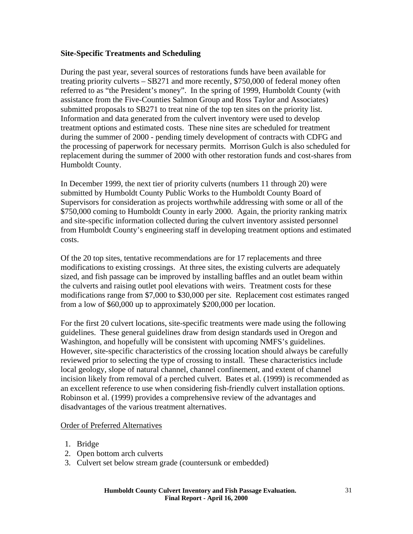### <span id="page-30-0"></span>**Site-Specific Treatments and Scheduling**

During the past year, several sources of restorations funds have been available for treating priority culverts – SB271 and more recently, \$750,000 of federal money often referred to as "the President's money". In the spring of 1999, Humboldt County (with assistance from the Five-Counties Salmon Group and Ross Taylor and Associates) submitted proposals to SB271 to treat nine of the top ten sites on the priority list. Information and data generated from the culvert inventory were used to develop treatment options and estimated costs. These nine sites are scheduled for treatment during the summer of 2000 - pending timely development of contracts with CDFG and the processing of paperwork for necessary permits. Morrison Gulch is also scheduled for replacement during the summer of 2000 with other restoration funds and cost-shares from Humboldt County.

In December 1999, the next tier of priority culverts (numbers 11 through 20) were submitted by Humboldt County Public Works to the Humboldt County Board of Supervisors for consideration as projects worthwhile addressing with some or all of the \$750,000 coming to Humboldt County in early 2000. Again, the priority ranking matrix and site-specific information collected during the culvert inventory assisted personnel from Humboldt County's engineering staff in developing treatment options and estimated costs.

Of the 20 top sites, tentative recommendations are for 17 replacements and three modifications to existing crossings. At three sites, the existing culverts are adequately sized, and fish passage can be improved by installing baffles and an outlet beam within the culverts and raising outlet pool elevations with weirs. Treatment costs for these modifications range from \$7,000 to \$30,000 per site. Replacement cost estimates ranged from a low of \$60,000 up to approximately \$200,000 per location.

For the first 20 culvert locations, site-specific treatments were made using the following guidelines. These general guidelines draw from design standards used in Oregon and Washington, and hopefully will be consistent with upcoming NMFS's guidelines. However, site-specific characteristics of the crossing location should always be carefully reviewed prior to selecting the type of crossing to install. These characteristics include local geology, slope of natural channel, channel confinement, and extent of channel incision likely from removal of a perched culvert. Bates et al. (1999) is recommended as an excellent reference to use when considering fish-friendly culvert installation options. Robinson et al. (1999) provides a comprehensive review of the advantages and disadvantages of the various treatment alternatives.

#### Order of Preferred Alternatives

- 1. Bridge
- 2. Open bottom arch culverts
- 3. Culvert set below stream grade (countersunk or embedded)

#### **Humboldt County Culvert Inventory and Fish Passage Evaluation. Final Report - April 16, 2000**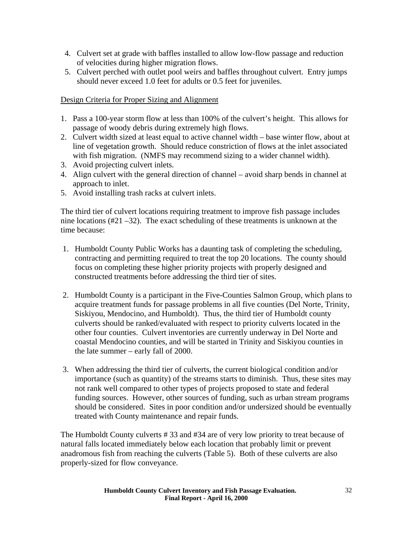- 4. Culvert set at grade with baffles installed to allow low-flow passage and reduction of velocities during higher migration flows.
- 5. Culvert perched with outlet pool weirs and baffles throughout culvert. Entry jumps should never exceed 1.0 feet for adults or 0.5 feet for juveniles.

## Design Criteria for Proper Sizing and Alignment

- 1. Pass a 100-year storm flow at less than 100% of the culvert's height. This allows for passage of woody debris during extremely high flows.
- 2. Culvert width sized at least equal to active channel width base winter flow, about at line of vegetation growth. Should reduce constriction of flows at the inlet associated with fish migration. (NMFS may recommend sizing to a wider channel width).
- 3. Avoid projecting culvert inlets.
- 4. Align culvert with the general direction of channel avoid sharp bends in channel at approach to inlet.
- 5. Avoid installing trash racks at culvert inlets.

The third tier of culvert locations requiring treatment to improve fish passage includes nine locations (#21 –32). The exact scheduling of these treatments is unknown at the time because:

- 1. Humboldt County Public Works has a daunting task of completing the scheduling, contracting and permitting required to treat the top 20 locations. The county should focus on completing these higher priority projects with properly designed and constructed treatments before addressing the third tier of sites.
- 2. Humboldt County is a participant in the Five-Counties Salmon Group, which plans to acquire treatment funds for passage problems in all five counties (Del Norte, Trinity, Siskiyou, Mendocino, and Humboldt). Thus, the third tier of Humboldt county culverts should be ranked/evaluated with respect to priority culverts located in the other four counties. Culvert inventories are currently underway in Del Norte and coastal Mendocino counties, and will be started in Trinity and Siskiyou counties in the late summer – early fall of 2000.
- 3. When addressing the third tier of culverts, the current biological condition and/or importance (such as quantity) of the streams starts to diminish. Thus, these sites may not rank well compared to other types of projects proposed to state and federal funding sources. However, other sources of funding, such as urban stream programs should be considered. Sites in poor condition and/or undersized should be eventually treated with County maintenance and repair funds.

The Humboldt County culverts # 33 and #34 are of very low priority to treat because of natural falls located immediately below each location that probably limit or prevent anadromous fish from reaching the culverts (Table 5). Both of these culverts are also properly-sized for flow conveyance.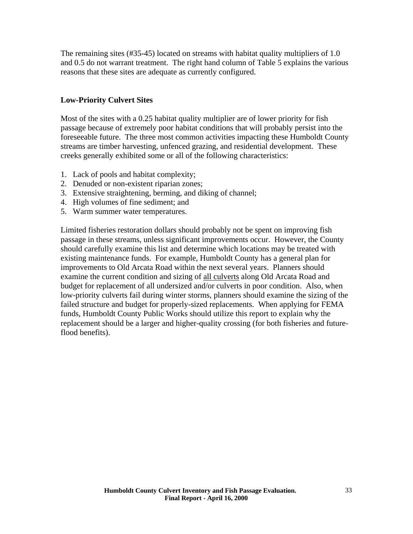<span id="page-32-0"></span>The remaining sites (#35-45) located on streams with habitat quality multipliers of 1.0 and 0.5 do not warrant treatment. The right hand column of Table 5 explains the various reasons that these sites are adequate as currently configured.

## **Low-Priority Culvert Sites**

Most of the sites with a 0.25 habitat quality multiplier are of lower priority for fish passage because of extremely poor habitat conditions that will probably persist into the foreseeable future. The three most common activities impacting these Humboldt County streams are timber harvesting, unfenced grazing, and residential development. These creeks generally exhibited some or all of the following characteristics:

- 1. Lack of pools and habitat complexity;
- 2. Denuded or non-existent riparian zones;
- 3. Extensive straightening, berming, and diking of channel;
- 4. High volumes of fine sediment; and
- 5. Warm summer water temperatures.

Limited fisheries restoration dollars should probably not be spent on improving fish passage in these streams, unless significant improvements occur. However, the County should carefully examine this list and determine which locations may be treated with existing maintenance funds. For example, Humboldt County has a general plan for improvements to Old Arcata Road within the next several years. Planners should examine the current condition and sizing of all culverts along Old Arcata Road and budget for replacement of all undersized and/or culverts in poor condition. Also, when low-priority culverts fail during winter storms, planners should examine the sizing of the failed structure and budget for properly-sized replacements. When applying for FEMA funds, Humboldt County Public Works should utilize this report to explain why the replacement should be a larger and higher-quality crossing (for both fisheries and futureflood benefits).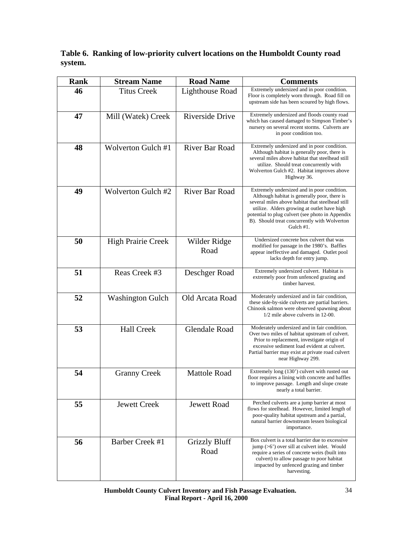|         | Table 6. Ranking of low-priority culvert locations on the Humboldt County road |
|---------|--------------------------------------------------------------------------------|
| system. |                                                                                |

| <b>Rank</b> | <b>Stream Name</b>        | <b>Road Name</b>             | <b>Comments</b>                                                                                                                                                                                                                                                                                                 |  |
|-------------|---------------------------|------------------------------|-----------------------------------------------------------------------------------------------------------------------------------------------------------------------------------------------------------------------------------------------------------------------------------------------------------------|--|
| 46          | <b>Titus Creek</b>        | Lighthouse Road              | Extremely undersized and in poor condition.<br>Floor is completely worn through. Road fill on<br>upstream side has been scoured by high flows.                                                                                                                                                                  |  |
| 47          | Mill (Watek) Creek        | Riverside Drive              | Extremely undersized and floods county road<br>which has caused damaged to Simpson Timber's<br>nursery on several recent storms. Culverts are<br>in poor condition too.                                                                                                                                         |  |
| 48          | <b>Wolverton Gulch #1</b> | <b>River Bar Road</b>        | Extremely undersized and in poor condition.<br>Although habitat is generally poor, there is<br>several miles above habitat that steelhead still<br>utilize. Should treat concurrently with<br>Wolverton Gulch #2. Habitat improves above<br>Highway 36.                                                         |  |
| 49          | Wolverton Gulch #2        | <b>River Bar Road</b>        | Extremely undersized and in poor condition.<br>Although habitat is generally poor, there is<br>several miles above habitat that steelhead still<br>utilize. Alders growing at outlet have high<br>potential to plug culvert (see photo in Appendix<br>B). Should treat concurrently with Wolverton<br>Gulch #1. |  |
| 50          | <b>High Prairie Creek</b> | Wilder Ridge<br>Road         | Undersized concrete box culvert that was<br>modified for passage in the 1980's. Baffles<br>appear ineffective and damaged. Outlet pool<br>lacks depth for entry jump.                                                                                                                                           |  |
| 51          | Reas Creek #3             | Deschger Road                | Extremely undersized culvert. Habitat is<br>extremely poor from unfenced grazing and<br>timber harvest.                                                                                                                                                                                                         |  |
| 52          | <b>Washington Gulch</b>   | Old Arcata Road              | Moderately undersized and in fair condition,<br>these side-by-side culverts are partial barriers.<br>Chinook salmon were observed spawning about<br>1/2 mile above culverts in 12-00.                                                                                                                           |  |
| 53          | <b>Hall Creek</b>         | <b>Glendale Road</b>         | Moderately undersized and in fair condition.<br>Over two miles of habitat upstream of culvert.<br>Prior to replacement, investigate origin of<br>excessive sediment load evident at culvert.<br>Partial barrier may exist at private road culvert<br>near Highway 299.                                          |  |
| 54          | <b>Granny Creek</b>       | <b>Mattole Road</b>          | Extremely long (130') culvert with rusted out<br>floor requires a lining with concrete and baffles<br>to improve passage. Length and slope create<br>nearly a total barrier.                                                                                                                                    |  |
| 55          | <b>Jewett Creek</b>       | <b>Jewett Road</b>           | Perched culverts are a jump barrier at most<br>flows for steelhead. However, limited length of<br>poor-quality habitat upstream and a partial,<br>natural barrier downstream lessen biological<br>importance.                                                                                                   |  |
| 56          | Barber Creek #1           | <b>Grizzly Bluff</b><br>Road | Box culvert is a total barrier due to excessive<br>$\mu$ ( $>6$ ) over sill at culvert inlet. Would<br>require a series of concrete weirs (built into<br>culvert) to allow passage to poor habitat<br>impacted by unfenced grazing and timber<br>harvesting.                                                    |  |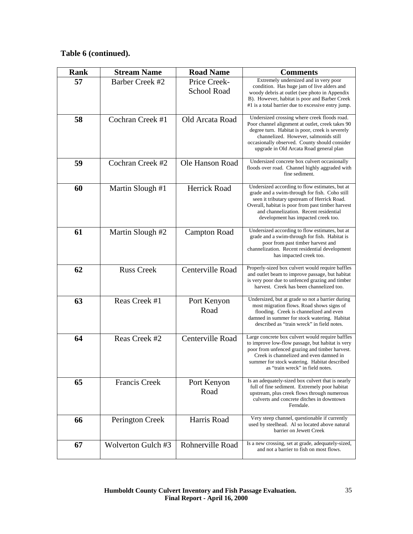| <b>Rank</b> | <b>Stream Name</b>     | <b>Road Name</b>                   | <b>Comments</b>                                                                                                                                                                                                                                                                          |
|-------------|------------------------|------------------------------------|------------------------------------------------------------------------------------------------------------------------------------------------------------------------------------------------------------------------------------------------------------------------------------------|
| 57          | <b>Barber Creek #2</b> | Price Creek-<br><b>School Road</b> | Extremely undersized and in very poor<br>condition. Has huge jam of live alders and<br>woody debris at outlet (see photo in Appendix<br>B). However, habitat is poor and Barber Creek<br>#1 is a total barrier due to excessive entry jump.                                              |
| 58          | Cochran Creek #1       | Old Arcata Road                    | Undersized crossing where creek floods road.<br>Poor channel alignment at outlet, creek takes 90<br>degree turn. Habitat is poor, creek is severely<br>channelized. However, salmonids still<br>occasionally observed. County should consider<br>upgrade in Old Arcata Road general plan |
| 59          | Cochran Creek #2       | Ole Hanson Road                    | Undersized concrete box culvert occasionally<br>floods over road. Channel highly aggraded with<br>fine sediment.                                                                                                                                                                         |
| 60          | Martin Slough #1       | <b>Herrick Road</b>                | Undersized according to flow estimates, but at<br>grade and a swim-through for fish. Coho still<br>seen it tributary upstream of Herrick Road.<br>Overall, habitat is poor from past timber harvest<br>and channelization. Recent residential<br>development has impacted creek too.     |
| 61          | Martin Slough #2       | <b>Campton Road</b>                | Undersized according to flow estimates, but at<br>grade and a swim-through for fish. Habitat is<br>poor from past timber harvest and<br>channelization. Recent residential development<br>has impacted creek too.                                                                        |
| 62          | <b>Russ Creek</b>      | Centerville Road                   | Properly-sized box culvert would require baffles<br>and outlet beam to improve passage, but habitat<br>is very poor due to unfenced grazing and timber<br>harvest. Creek has been channelized too.                                                                                       |
| 63          | Reas Creek #1          | Port Kenyon<br>Road                | Undersized, but at grade so not a barrier during<br>most migration flows. Road shows signs of<br>flooding. Creek is channelized and even<br>damned in summer for stock watering. Habitat<br>described as "train wreck" in field notes.                                                   |
| 64          | Reas Creek #2          | Centerville Road                   | Large concrete box culvert would require baffles<br>to improve low-flow passage, but habitat is very<br>poor from unfenced grazing and timber harvest.<br>Creek is channelized and even damned in<br>summer for stock watering. Habitat described<br>as "train wreck" in field notes.    |
| 65          | <b>Francis Creek</b>   | Port Kenyon<br>Road                | Is an adequately-sized box culvert that is nearly<br>full of fine sediment. Extremely poor habitat<br>upstream, plus creek flows through numerous<br>culverts and concrete ditches in downtown<br>Ferndale.                                                                              |
| 66          | Perington Creek        | Harris Road                        | Very steep channel, questionable if currently<br>used by steelhead. Al so located above natural<br>barrier on Jewett Creek                                                                                                                                                               |
| 67          | Wolverton Gulch #3     | Rohnerville Road                   | Is a new crossing, set at grade, adequately-sized,<br>and not a barrier to fish on most flows.                                                                                                                                                                                           |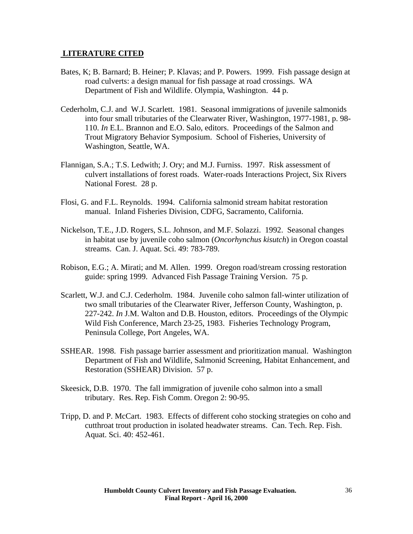#### <span id="page-35-0"></span> **LITERATURE CITED**

- Bates, K; B. Barnard; B. Heiner; P. Klavas; and P. Powers. 1999. Fish passage design at road culverts: a design manual for fish passage at road crossings. WA Department of Fish and Wildlife. Olympia, Washington. 44 p.
- Cederholm, C.J. and W.J. Scarlett. 1981. Seasonal immigrations of juvenile salmonids into four small tributaries of the Clearwater River, Washington, 1977-1981, p. 98- 110. *In* E.L. Brannon and E.O. Salo, editors. Proceedings of the Salmon and Trout Migratory Behavior Symposium. School of Fisheries, University of Washington, Seattle, WA.
- Flannigan, S.A.; T.S. Ledwith; J. Ory; and M.J. Furniss. 1997. Risk assessment of culvert installations of forest roads. Water-roads Interactions Project, Six Rivers National Forest. 28 p.
- Flosi, G. and F.L. Reynolds. 1994. California salmonid stream habitat restoration manual. Inland Fisheries Division, CDFG, Sacramento, California.
- Nickelson, T.E., J.D. Rogers, S.L. Johnson, and M.F. Solazzi. 1992. Seasonal changes in habitat use by juvenile coho salmon (*Oncorhynchus kisutch*) in Oregon coastal streams. Can. J. Aquat. Sci. 49: 783-789.
- Robison, E.G.; A. Mirati; and M. Allen. 1999. Oregon road/stream crossing restoration guide: spring 1999. Advanced Fish Passage Training Version. 75 p.
- Scarlett, W.J. and C.J. Cederholm. 1984. Juvenile coho salmon fall-winter utilization of two small tributaries of the Clearwater River, Jefferson County, Washington, p. 227-242. *In* J.M. Walton and D.B. Houston, editors. Proceedings of the Olympic Wild Fish Conference, March 23-25, 1983. Fisheries Technology Program, Peninsula College, Port Angeles, WA.
- SSHEAR. 1998. Fish passage barrier assessment and prioritization manual. Washington Department of Fish and Wildlife, Salmonid Screening, Habitat Enhancement, and Restoration (SSHEAR) Division. 57 p.
- Skeesick, D.B. 1970. The fall immigration of juvenile coho salmon into a small tributary. Res. Rep. Fish Comm. Oregon 2: 90-95.
- Tripp, D. and P. McCart. 1983. Effects of different coho stocking strategies on coho and cutthroat trout production in isolated headwater streams. Can. Tech. Rep. Fish. Aquat. Sci. 40: 452-461.